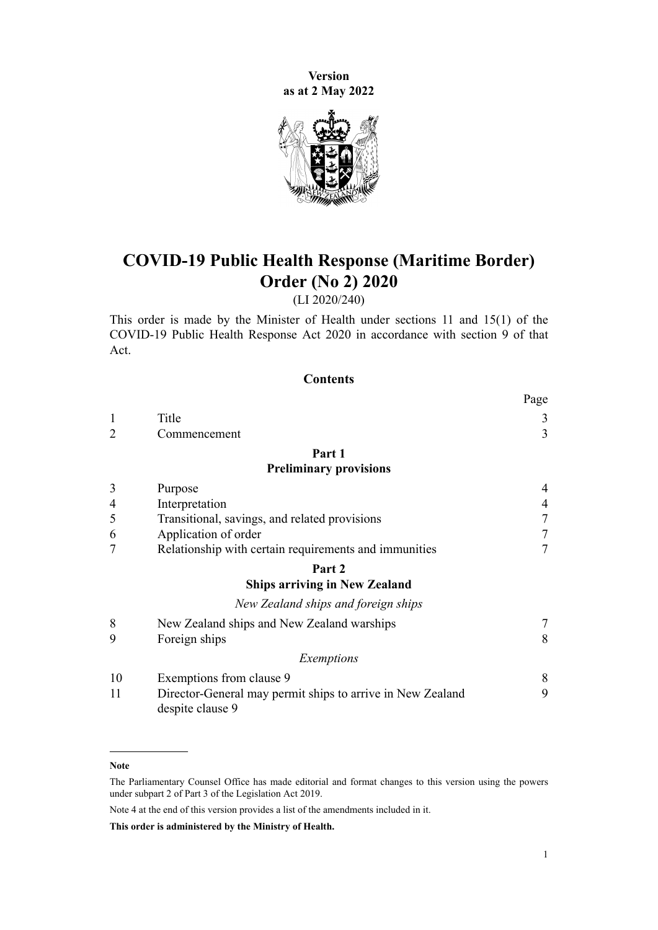**Version as at 2 May 2022**



# **COVID-19 Public Health Response (Maritime Border) Order (No 2) 2020**

(LI 2020/240)

This order is made by the Minister of Health under [sections 11](http://legislation.govt.nz/pdflink.aspx?id=LMS344177) and [15\(1\)](http://legislation.govt.nz/pdflink.aspx?id=LMS344183) of the [COVID-19 Public Health Response Act 2020](http://legislation.govt.nz/pdflink.aspx?id=LMS344121) in accordance with [section 9](http://legislation.govt.nz/pdflink.aspx?id=LMS344175) of that Act.

### **Contents**

|                |                                                                                | rage           |
|----------------|--------------------------------------------------------------------------------|----------------|
| 1              | Title                                                                          | 3              |
| $\overline{2}$ | Commencement                                                                   | 3              |
|                | Part 1                                                                         |                |
|                | <b>Preliminary provisions</b>                                                  |                |
| 3              | Purpose                                                                        | 4              |
| 4              | Interpretation                                                                 | $\overline{4}$ |
| 5              | Transitional, savings, and related provisions                                  | 7              |
| 6              | Application of order                                                           | 7              |
|                | Relationship with certain requirements and immunities                          | 7              |
|                | Part 2                                                                         |                |
|                | <b>Ships arriving in New Zealand</b>                                           |                |
|                | New Zealand ships and foreign ships                                            |                |
| 8              | New Zealand ships and New Zealand warships                                     | 7              |
| 9              | Foreign ships                                                                  | 8              |
|                | Exemptions                                                                     |                |
| 10             | Exemptions from clause 9                                                       | 8              |
| 11             | Director-General may permit ships to arrive in New Zealand<br>despite clause 9 | 9              |

**Note**

Note 4 at the end of this version provides a list of the amendments included in it.

**This order is administered by the Ministry of Health.**

 $\mathbf{p}$ 

The Parliamentary Counsel Office has made editorial and format changes to this version using the powers under [subpart 2](http://legislation.govt.nz/pdflink.aspx?id=DLM7298371) of Part 3 of the Legislation Act 2019.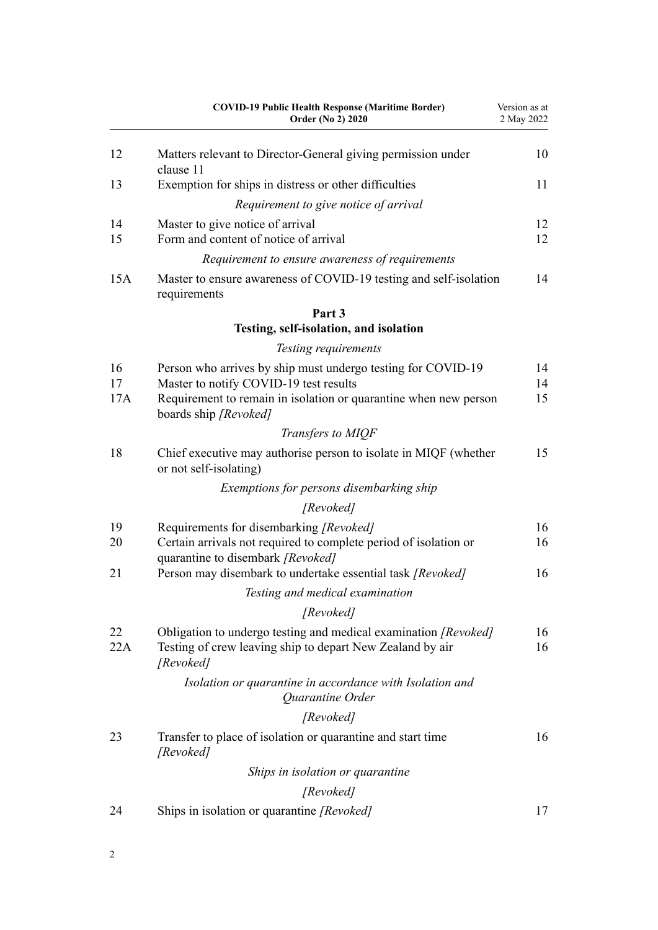| <b>COVID-19 Public Health Response (Maritime Border)</b><br>Order (No 2) 2020                         | Version as at<br>2 May 2022                                                                                                                                                                                             |
|-------------------------------------------------------------------------------------------------------|-------------------------------------------------------------------------------------------------------------------------------------------------------------------------------------------------------------------------|
| Matters relevant to Director-General giving permission under<br>clause 11                             | 10                                                                                                                                                                                                                      |
| Exemption for ships in distress or other difficulties                                                 | 11                                                                                                                                                                                                                      |
| Requirement to give notice of arrival                                                                 |                                                                                                                                                                                                                         |
| Master to give notice of arrival                                                                      | 12                                                                                                                                                                                                                      |
| Form and content of notice of arrival                                                                 | 12                                                                                                                                                                                                                      |
| Requirement to ensure awareness of requirements                                                       |                                                                                                                                                                                                                         |
| Master to ensure awareness of COVID-19 testing and self-isolation<br>requirements                     | 14                                                                                                                                                                                                                      |
| Part 3                                                                                                |                                                                                                                                                                                                                         |
| Testing, self-isolation, and isolation                                                                |                                                                                                                                                                                                                         |
| Testing requirements                                                                                  |                                                                                                                                                                                                                         |
| Person who arrives by ship must undergo testing for COVID-19                                          | 14                                                                                                                                                                                                                      |
| Master to notify COVID-19 test results                                                                | 14                                                                                                                                                                                                                      |
| boards ship [Revoked]                                                                                 | 15                                                                                                                                                                                                                      |
| Transfers to MIQF                                                                                     |                                                                                                                                                                                                                         |
| Chief executive may authorise person to isolate in MIQF (whether<br>or not self-isolating)            | 15                                                                                                                                                                                                                      |
| Exemptions for persons disembarking ship                                                              |                                                                                                                                                                                                                         |
| [Revoked]                                                                                             |                                                                                                                                                                                                                         |
|                                                                                                       | 16                                                                                                                                                                                                                      |
| Certain arrivals not required to complete period of isolation or<br>quarantine to disembark [Revoked] | 16                                                                                                                                                                                                                      |
| Person may disembark to undertake essential task [Revoked]                                            | 16                                                                                                                                                                                                                      |
| Testing and medical examination                                                                       |                                                                                                                                                                                                                         |
| [Revoked]                                                                                             |                                                                                                                                                                                                                         |
| Obligation to undergo testing and medical examination [Revoked]                                       | 16                                                                                                                                                                                                                      |
| Testing of crew leaving ship to depart New Zealand by air<br>[Revoked]                                | 16                                                                                                                                                                                                                      |
| Isolation or quarantine in accordance with Isolation and<br>Quarantine Order                          |                                                                                                                                                                                                                         |
| [Revoked]                                                                                             |                                                                                                                                                                                                                         |
| Transfer to place of isolation or quarantine and start time                                           | 16                                                                                                                                                                                                                      |
|                                                                                                       |                                                                                                                                                                                                                         |
|                                                                                                       |                                                                                                                                                                                                                         |
|                                                                                                       | 17                                                                                                                                                                                                                      |
|                                                                                                       | Requirement to remain in isolation or quarantine when new person<br>Requirements for disembarking [Revoked]<br>[Revoked]<br>Ships in isolation or quarantine<br>[Revoked]<br>Ships in isolation or quarantine [Revoked] |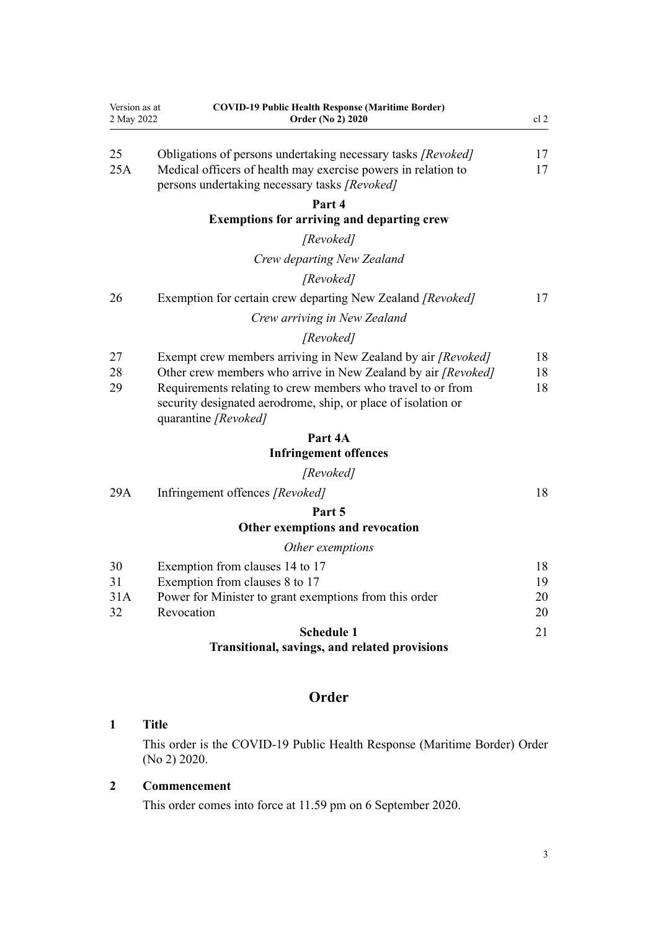<span id="page-2-0"></span>

| Version as at<br>2 May 2022 | <b>COVID-19 Public Health Response (Maritime Border)</b><br>Order (No 2) 2020                                                                                                                                                                                                         | cl <sub>2</sub> |  |
|-----------------------------|---------------------------------------------------------------------------------------------------------------------------------------------------------------------------------------------------------------------------------------------------------------------------------------|-----------------|--|
| 25<br>25A                   | Obligations of persons undertaking necessary tasks [Revoked]<br>Medical officers of health may exercise powers in relation to<br>persons undertaking necessary tasks [Revoked]                                                                                                        | 17<br>17        |  |
|                             | Part 4                                                                                                                                                                                                                                                                                |                 |  |
|                             | <b>Exemptions for arriving and departing crew</b>                                                                                                                                                                                                                                     |                 |  |
|                             | [Revoked]                                                                                                                                                                                                                                                                             |                 |  |
|                             | Crew departing New Zealand                                                                                                                                                                                                                                                            |                 |  |
|                             | [Revoked]                                                                                                                                                                                                                                                                             |                 |  |
| 26                          | Exemption for certain crew departing New Zealand [Revoked]                                                                                                                                                                                                                            | 17              |  |
|                             | Crew arriving in New Zealand                                                                                                                                                                                                                                                          |                 |  |
|                             | [Revoked]                                                                                                                                                                                                                                                                             |                 |  |
| 27<br>28<br>29              | Exempt crew members arriving in New Zealand by air [Revoked]<br>Other crew members who arrive in New Zealand by air [Revoked]<br>Requirements relating to crew members who travel to or from<br>security designated aerodrome, ship, or place of isolation or<br>quarantine [Revoked] | 18<br>18<br>18  |  |
|                             | Part 4A                                                                                                                                                                                                                                                                               |                 |  |
|                             | <b>Infringement offences</b>                                                                                                                                                                                                                                                          |                 |  |
|                             | [Revoked]                                                                                                                                                                                                                                                                             |                 |  |
| 29A                         | Infringement offences [Revoked]                                                                                                                                                                                                                                                       | 18              |  |
|                             | Part 5                                                                                                                                                                                                                                                                                |                 |  |
|                             | Other exemptions and revocation                                                                                                                                                                                                                                                       |                 |  |
|                             | Other exemptions                                                                                                                                                                                                                                                                      |                 |  |
| 30                          | Exemption from clauses 14 to 17                                                                                                                                                                                                                                                       | 18              |  |
| 31<br>31A                   | Exemption from clauses 8 to 17<br>Power for Minister to grant exemptions from this order                                                                                                                                                                                              | 19<br>20        |  |
| 32                          | Revocation                                                                                                                                                                                                                                                                            | 20              |  |
|                             | <b>Schedule 1</b><br>Transitional, savings, and related provisions                                                                                                                                                                                                                    | 21              |  |
|                             | Order                                                                                                                                                                                                                                                                                 |                 |  |
| 1                           | <b>Title</b>                                                                                                                                                                                                                                                                          |                 |  |

This order is the COVID-19 Public Health Response (Maritime Border) Order (No 2) 2020.

## **2 Commencement**

This order comes into force at 11.59 pm on 6 September 2020.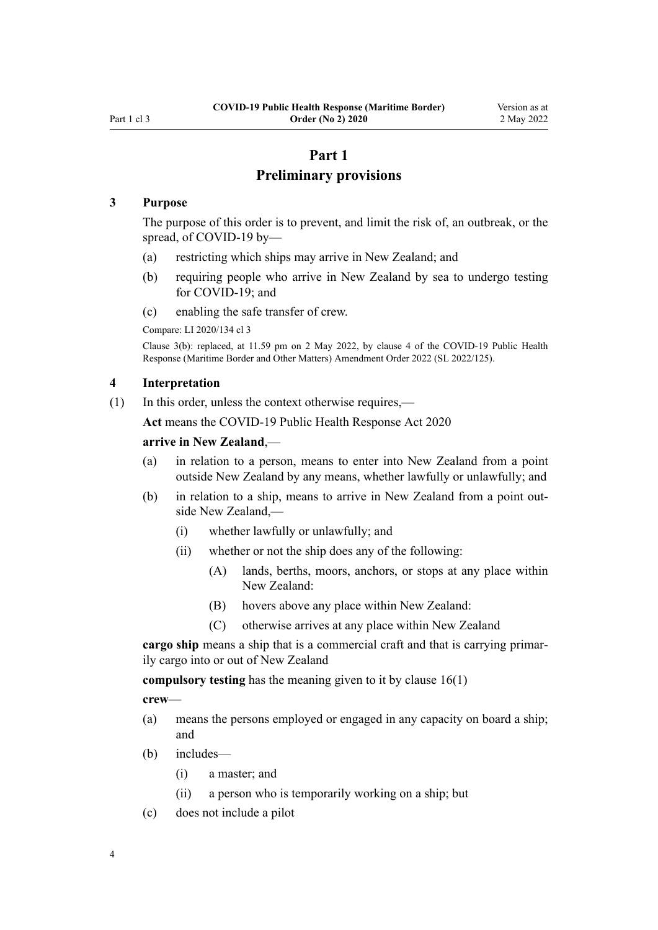## **Part 1**

## **Preliminary provisions**

### <span id="page-3-0"></span>**3 Purpose**

The purpose of this order is to prevent, and limit the risk of, an outbreak, or the spread, of COVID-19 by—

- (a) restricting which ships may arrive in New Zealand; and
- (b) requiring people who arrive in New Zealand by sea to undergo testing for COVID-19; and
- (c) enabling the safe transfer of crew.

Compare: LI 2020/134 [cl 3](http://legislation.govt.nz/pdflink.aspx?id=LMS363155)

Clause 3(b): replaced, at 11.59 pm on 2 May 2022, by [clause 4](http://legislation.govt.nz/pdflink.aspx?id=LMS679850) of the COVID-19 Public Health Response (Maritime Border and Other Matters) Amendment Order 2022 (SL 2022/125).

### **4 Interpretation**

(1) In this order, unless the context otherwise requires,—

**Act** means the [COVID-19 Public Health Response Act 2020](http://legislation.govt.nz/pdflink.aspx?id=LMS344121)

### **arrive in New Zealand**,—

- (a) in relation to a person, means to enter into New Zealand from a point outside New Zealand by any means, whether lawfully or unlawfully; and
- (b) in relation to a ship, means to arrive in New Zealand from a point outside New Zealand,—
	- (i) whether lawfully or unlawfully; and
	- (ii) whether or not the ship does any of the following:
		- (A) lands, berths, moors, anchors, or stops at any place within New Zealand:
		- (B) hovers above any place within New Zealand:
		- (C) otherwise arrives at any place within New Zealand

cargo ship means a ship that is a commercial craft and that is carrying primarily cargo into or out of New Zealand

**compulsory testing** has the meaning given to it by [clause 16\(1\)](#page-13-0)

**crew**—

- (a) means the persons employed or engaged in any capacity on board a ship; and
- (b) includes—
	- (i) a master; and
	- (ii) a person who is temporarily working on a ship; but
- (c) does not include a pilot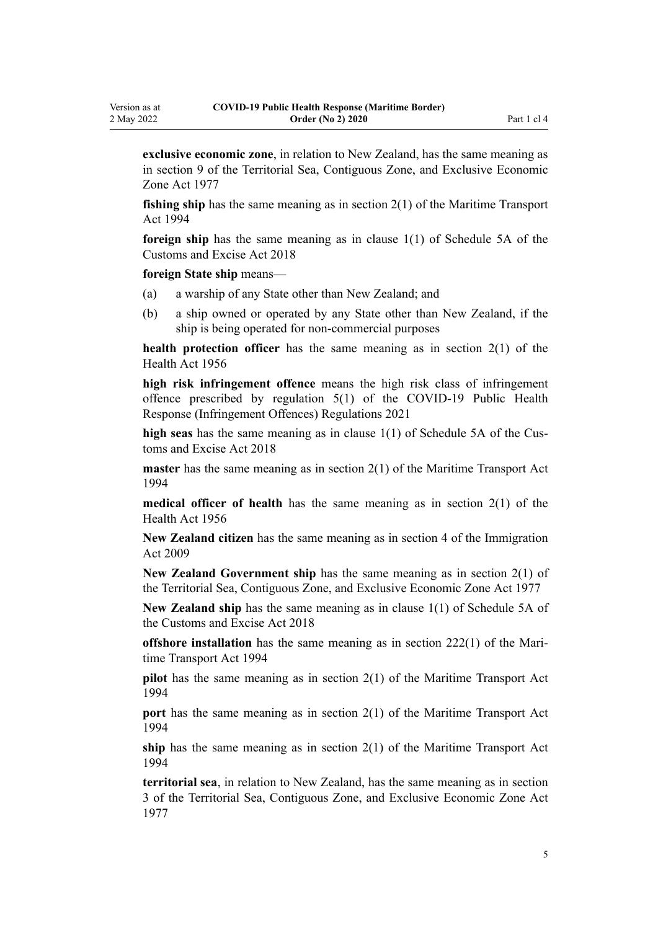**exclusive economic zone**, in relation to New Zealand, has the same meaning as in [section 9](http://legislation.govt.nz/pdflink.aspx?id=DLM442682) of the Territorial Sea, Contiguous Zone, and Exclusive Economic Zone Act 1977

**fishing ship** has the same meaning as in [section 2\(1\)](http://legislation.govt.nz/pdflink.aspx?id=DLM334667) of the Maritime Transport Act 1994

**foreign ship** has the same meaning as in [clause 1\(1\)](http://legislation.govt.nz/pdflink.aspx?id=LMS94616) of Schedule 5A of the Customs and Excise Act 2018

**foreign State ship** means—

- (a) a warship of any State other than New Zealand; and
- (b) a ship owned or operated by any State other than New Zealand, if the ship is being operated for non-commercial purposes

**health protection officer** has the same meaning as in [section 2\(1\)](http://legislation.govt.nz/pdflink.aspx?id=DLM305845) of the Health Act 1956

**high risk infringement offence** means the high risk class of infringement offence prescribed by [regulation 5\(1\)](http://legislation.govt.nz/pdflink.aspx?id=LMS600713) of the COVID-19 Public Health Response (Infringement Offences) Regulations 2021

high seas has the same meaning as in [clause 1\(1\)](http://legislation.govt.nz/pdflink.aspx?id=LMS94616) of Schedule 5A of the Customs and Excise Act 2018

**master** has the same meaning as in [section 2\(1\)](http://legislation.govt.nz/pdflink.aspx?id=DLM334667) of the Maritime Transport Act 1994

**medical officer of health** has the same meaning as in [section 2\(1\)](http://legislation.govt.nz/pdflink.aspx?id=DLM305845) of the Health Act 1956

**New Zealand citizen** has the same meaning as in [section 4](http://legislation.govt.nz/pdflink.aspx?id=DLM1440311) of the Immigration Act 2009

**New Zealand Government ship** has the same meaning as in [section 2\(1\)](http://legislation.govt.nz/pdflink.aspx?id=DLM442587) of the Territorial Sea, Contiguous Zone, and Exclusive Economic Zone Act 1977

**New Zealand ship** has the same meaning as in [clause 1\(1\)](http://legislation.govt.nz/pdflink.aspx?id=LMS94616) of Schedule 5A of the Customs and Excise Act 2018

**offshore installation** has the same meaning as in [section 222\(1\)](http://legislation.govt.nz/pdflink.aspx?id=DLM336955) of the Maritime Transport Act 1994

**pilot** has the same meaning as in [section 2\(1\)](http://legislation.govt.nz/pdflink.aspx?id=DLM334667) of the Maritime Transport Act 1994

**port** has the same meaning as in [section 2\(1\)](http://legislation.govt.nz/pdflink.aspx?id=DLM334667) of the Maritime Transport Act 1994

**ship** has the same meaning as in [section 2\(1\)](http://legislation.govt.nz/pdflink.aspx?id=DLM334667) of the Maritime Transport Act 1994

**territorial sea**, in relation to New Zealand, has the same meaning as in [section](http://legislation.govt.nz/pdflink.aspx?id=DLM442665) [3](http://legislation.govt.nz/pdflink.aspx?id=DLM442665) of the Territorial Sea, Contiguous Zone, and Exclusive Economic Zone Act 1977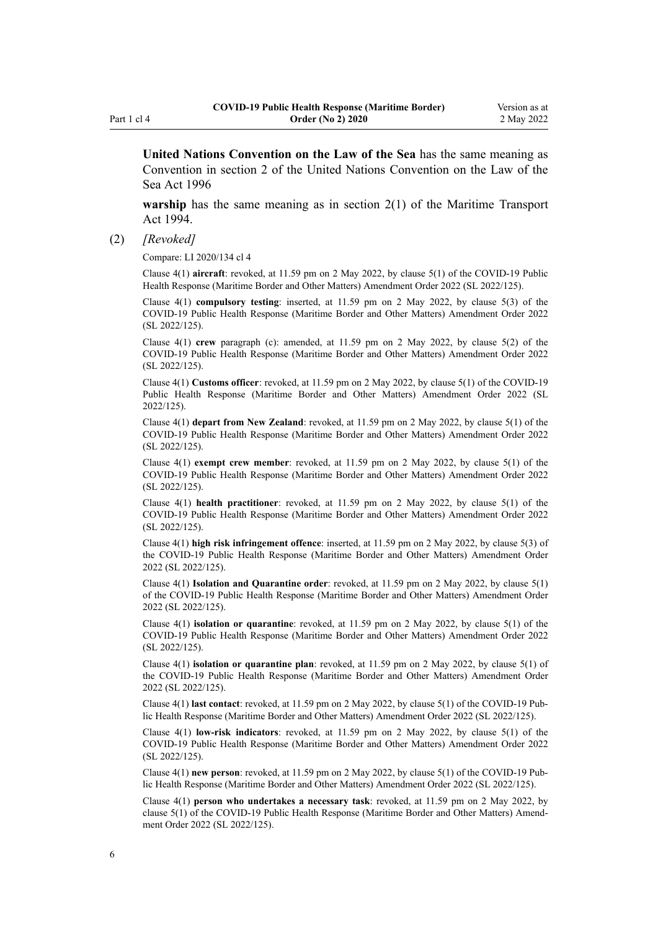**United Nations Convention on the Law of the Sea** has the same meaning as Convention in [section 2](http://legislation.govt.nz/pdflink.aspx?id=DLM393759) of the United Nations Convention on the Law of the Sea Act 1996

**warship** has the same meaning as in [section 2\(1\)](http://legislation.govt.nz/pdflink.aspx?id=DLM334667) of the Maritime Transport Act 1994.

(2) *[Revoked]*

Compare: LI 2020/134 [cl 4](http://legislation.govt.nz/pdflink.aspx?id=LMS363208)

Clause 4(1) **aircraft**: revoked, at 11.59 pm on 2 May 2022, by [clause 5\(1\)](http://legislation.govt.nz/pdflink.aspx?id=LMS679873) of the COVID-19 Public Health Response (Maritime Border and Other Matters) Amendment Order 2022 (SL 2022/125).

Clause 4(1) **compulsory testing**: inserted, at 11.59 pm on 2 May 2022, by [clause 5\(3\)](http://legislation.govt.nz/pdflink.aspx?id=LMS679873) of the COVID-19 Public Health Response (Maritime Border and Other Matters) Amendment Order 2022 (SL 2022/125).

Clause 4(1) **crew** paragraph (c): amended, at 11.59 pm on 2 May 2022, by [clause 5\(2\)](http://legislation.govt.nz/pdflink.aspx?id=LMS679873) of the COVID-19 Public Health Response (Maritime Border and Other Matters) Amendment Order 2022 (SL 2022/125).

Clause 4(1) **Customs officer**: revoked, at 11.59 pm on 2 May 2022, by [clause 5\(1\)](http://legislation.govt.nz/pdflink.aspx?id=LMS679873) of the COVID-19 Public Health Response (Maritime Border and Other Matters) Amendment Order 2022 (SL 2022/125).

Clause 4(1) **depart from New Zealand**: revoked, at 11.59 pm on 2 May 2022, by [clause 5\(1\)](http://legislation.govt.nz/pdflink.aspx?id=LMS679873) of the COVID-19 Public Health Response (Maritime Border and Other Matters) Amendment Order 2022 (SL 2022/125).

Clause 4(1) **exempt crew member**: revoked, at 11.59 pm on 2 May 2022, by [clause 5\(1\)](http://legislation.govt.nz/pdflink.aspx?id=LMS679873) of the COVID-19 Public Health Response (Maritime Border and Other Matters) Amendment Order 2022 (SL 2022/125).

Clause 4(1) **health practitioner**: revoked, at 11.59 pm on 2 May 2022, by [clause 5\(1\)](http://legislation.govt.nz/pdflink.aspx?id=LMS679873) of the COVID-19 Public Health Response (Maritime Border and Other Matters) Amendment Order 2022 (SL 2022/125).

Clause 4(1) **high risk infringement offence**: inserted, at 11.59 pm on 2 May 2022, by [clause 5\(3\)](http://legislation.govt.nz/pdflink.aspx?id=LMS679873) of the COVID-19 Public Health Response (Maritime Border and Other Matters) Amendment Order 2022 (SL 2022/125).

Clause 4(1) **Isolation and Quarantine order**: revoked, at 11.59 pm on 2 May 2022, by [clause 5\(1\)](http://legislation.govt.nz/pdflink.aspx?id=LMS679873) of the COVID-19 Public Health Response (Maritime Border and Other Matters) Amendment Order 2022 (SL 2022/125).

Clause 4(1) **isolation or quarantine**: revoked, at 11.59 pm on 2 May 2022, by [clause 5\(1\)](http://legislation.govt.nz/pdflink.aspx?id=LMS679873) of the COVID-19 Public Health Response (Maritime Border and Other Matters) Amendment Order 2022 (SL 2022/125).

Clause 4(1) **isolation or quarantine plan**: revoked, at 11.59 pm on 2 May 2022, by [clause 5\(1\)](http://legislation.govt.nz/pdflink.aspx?id=LMS679873) of the COVID-19 Public Health Response (Maritime Border and Other Matters) Amendment Order 2022 (SL 2022/125).

Clause 4(1) **last contact**: revoked, at 11.59 pm on 2 May 2022, by [clause 5\(1\)](http://legislation.govt.nz/pdflink.aspx?id=LMS679873) of the COVID-19 Pub‐ lic Health Response (Maritime Border and Other Matters) Amendment Order 2022 (SL 2022/125).

Clause 4(1) **low-risk indicators**: revoked, at 11.59 pm on 2 May 2022, by [clause 5\(1\)](http://legislation.govt.nz/pdflink.aspx?id=LMS679873) of the COVID-19 Public Health Response (Maritime Border and Other Matters) Amendment Order 2022 (SL 2022/125).

Clause 4(1) **new person**: revoked, at 11.59 pm on 2 May 2022, by [clause 5\(1\)](http://legislation.govt.nz/pdflink.aspx?id=LMS679873) of the COVID-19 Pub‐ lic Health Response (Maritime Border and Other Matters) Amendment Order 2022 (SL 2022/125).

Clause 4(1) **person who undertakes a necessary task**: revoked, at 11.59 pm on 2 May 2022, by [clause 5\(1\)](http://legislation.govt.nz/pdflink.aspx?id=LMS679873) of the COVID-19 Public Health Response (Maritime Border and Other Matters) Amend‐ ment Order 2022 (SL 2022/125).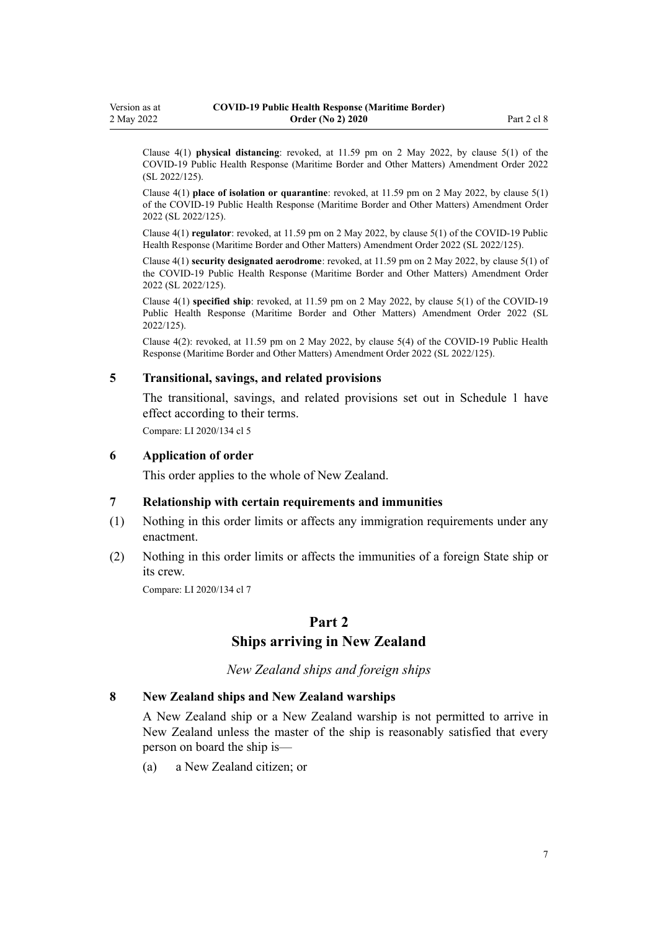<span id="page-6-0"></span>Clause 4(1) **physical distancing**: revoked, at 11.59 pm on 2 May 2022, by [clause 5\(1\)](http://legislation.govt.nz/pdflink.aspx?id=LMS679873) of the COVID-19 Public Health Response (Maritime Border and Other Matters) Amendment Order 2022 (SL 2022/125).

Clause 4(1) **place of isolation or quarantine**: revoked, at 11.59 pm on 2 May 2022, by [clause 5\(1\)](http://legislation.govt.nz/pdflink.aspx?id=LMS679873) of the COVID-19 Public Health Response (Maritime Border and Other Matters) Amendment Order 2022 (SL 2022/125).

Clause 4(1) **regulator**: revoked, at 11.59 pm on 2 May 2022, by [clause 5\(1\)](http://legislation.govt.nz/pdflink.aspx?id=LMS679873) of the COVID-19 Public Health Response (Maritime Border and Other Matters) Amendment Order 2022 (SL 2022/125).

Clause 4(1) **security designated aerodrome**: revoked, at 11.59 pm on 2 May 2022, by [clause 5\(1\)](http://legislation.govt.nz/pdflink.aspx?id=LMS679873) of the COVID-19 Public Health Response (Maritime Border and Other Matters) Amendment Order 2022 (SL 2022/125).

Clause 4(1) **specified ship**: revoked, at 11.59 pm on 2 May 2022, by [clause 5\(1\)](http://legislation.govt.nz/pdflink.aspx?id=LMS679873) of the COVID-19 Public Health Response (Maritime Border and Other Matters) Amendment Order 2022 (SL 2022/125).

Clause 4(2): revoked, at 11.59 pm on 2 May 2022, by [clause 5\(4\)](http://legislation.govt.nz/pdflink.aspx?id=LMS679873) of the COVID-19 Public Health Response (Maritime Border and Other Matters) Amendment Order 2022 (SL 2022/125).

#### **5 Transitional, savings, and related provisions**

The transitional, savings, and related provisions set out in [Schedule 1](#page-20-0) have effect according to their terms.

Compare: LI 2020/134 [cl 5](http://legislation.govt.nz/pdflink.aspx?id=LMS363209)

#### **6 Application of order**

This order applies to the whole of New Zealand.

### **7 Relationship with certain requirements and immunities**

- (1) Nothing in this order limits or affects any immigration requirements under any enactment.
- (2) Nothing in this order limits or affects the immunities of a foreign State ship or its crew.

Compare: LI 2020/134 [cl 7](http://legislation.govt.nz/pdflink.aspx?id=LMS363211)

## **Part 2**

### **Ships arriving in New Zealand**

*New Zealand ships and foreign ships*

#### **8 New Zealand ships and New Zealand warships**

A New Zealand ship or a New Zealand warship is not permitted to arrive in New Zealand unless the master of the ship is reasonably satisfied that every person on board the ship is—

(a) a New Zealand citizen; or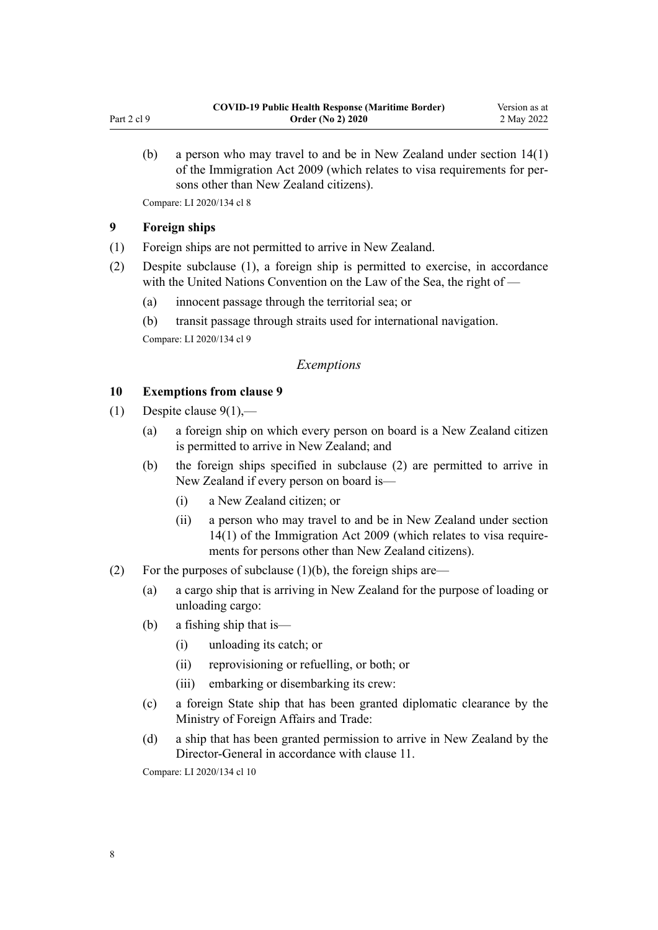<span id="page-7-0"></span>(b) a person who may travel to and be in New Zealand under [section 14\(1\)](http://legislation.govt.nz/pdflink.aspx?id=DLM1440596) of the Immigration Act 2009 (which relates to visa requirements for per‐ sons other than New Zealand citizens).

Compare: LI 2020/134 [cl 8](http://legislation.govt.nz/pdflink.aspx?id=LMS363214)

### **9 Foreign ships**

- (1) Foreign ships are not permitted to arrive in New Zealand.
- (2) Despite subclause (1), a foreign ship is permitted to exercise, in accordance with the United Nations Convention on the Law of the Sea, the right of —
	- (a) innocent passage through the territorial sea; or
	- (b) transit passage through straits used for international navigation.

Compare: LI 2020/134 [cl 9](http://legislation.govt.nz/pdflink.aspx?id=LMS363220)

### *Exemptions*

### **10 Exemptions from clause 9**

- (1) Despite clause  $9(1)$ ,—
	- (a) a foreign ship on which every person on board is a New Zealand citizen is permitted to arrive in New Zealand; and
	- (b) the foreign ships specified in subclause (2) are permitted to arrive in New Zealand if every person on board is—
		- (i) a New Zealand citizen; or
		- (ii) a person who may travel to and be in New Zealand under [section](http://legislation.govt.nz/pdflink.aspx?id=DLM1440596) [14\(1\)](http://legislation.govt.nz/pdflink.aspx?id=DLM1440596) of the Immigration Act 2009 (which relates to visa require‐ ments for persons other than New Zealand citizens).
- (2) For the purposes of subclause  $(1)(b)$ , the foreign ships are—
	- (a) a cargo ship that is arriving in New Zealand for the purpose of loading or unloading cargo:
	- (b) a fishing ship that is—
		- (i) unloading its catch; or
		- (ii) reprovisioning or refuelling, or both; or
		- (iii) embarking or disembarking its crew:
	- (c) a foreign State ship that has been granted diplomatic clearance by the Ministry of Foreign Affairs and Trade:
	- (d) a ship that has been granted permission to arrive in New Zealand by the Director-General in accordance with [clause 11.](#page-8-0)

Compare: LI 2020/134 [cl 10](http://legislation.govt.nz/pdflink.aspx?id=LMS363222)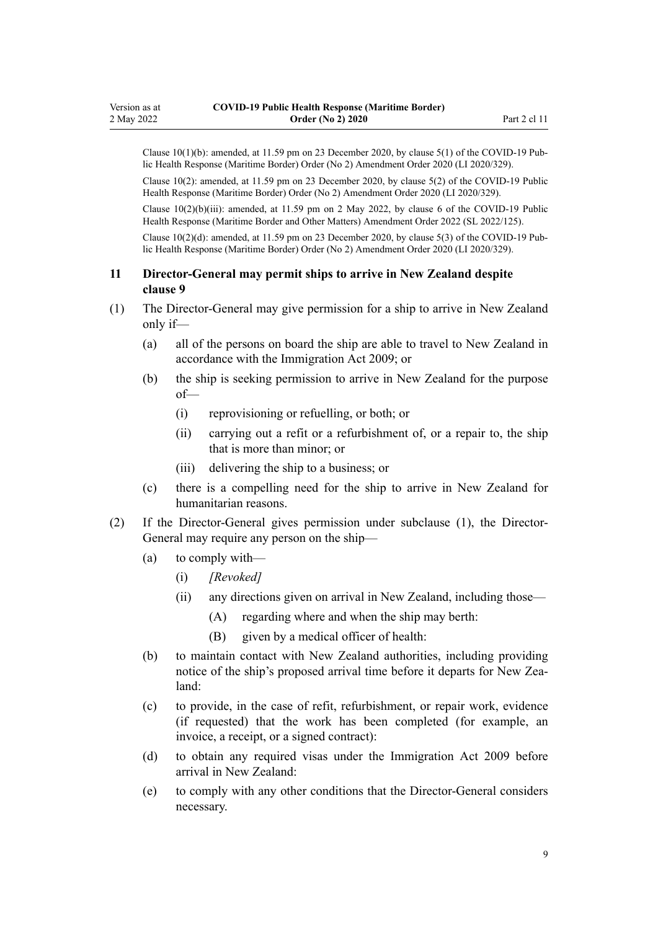<span id="page-8-0"></span>Clause  $10(1)(b)$ : amended, at  $11.59$  pm on 23 December 2020, by clause  $5(1)$  of the COVID-19 Public Health Response (Maritime Border) Order (No 2) Amendment Order 2020 (LI 2020/329).

Clause 10(2): amended, at 11.59 pm on 23 December 2020, by [clause 5\(2\)](http://legislation.govt.nz/pdflink.aspx?id=LMS437894) of the COVID-19 Public Health Response (Maritime Border) Order (No 2) Amendment Order 2020 (LI 2020/329).

Clause 10(2)(b)(iii): amended, at 11.59 pm on 2 May 2022, by [clause 6](http://legislation.govt.nz/pdflink.aspx?id=LMS679874) of the COVID-19 Public Health Response (Maritime Border and Other Matters) Amendment Order 2022 (SL 2022/125).

Clause  $10(2)(d)$ : amended, at 11.59 pm on 23 December 2020, by [clause 5\(3\)](http://legislation.govt.nz/pdflink.aspx?id=LMS437894) of the COVID-19 Public Health Response (Maritime Border) Order (No 2) Amendment Order 2020 (LI 2020/329).

### **11 Director-General may permit ships to arrive in New Zealand despite clause 9**

- (1) The Director-General may give permission for a ship to arrive in New Zealand only if—
	- (a) all of the persons on board the ship are able to travel to New Zealand in accordance with the [Immigration Act 2009;](http://legislation.govt.nz/pdflink.aspx?id=DLM1440300) or
	- (b) the ship is seeking permission to arrive in New Zealand for the purpose of—
		- (i) reprovisioning or refuelling, or both; or
		- (ii) carrying out a refit or a refurbishment of, or a repair to, the ship that is more than minor; or
		- (iii) delivering the ship to a business; or
	- (c) there is a compelling need for the ship to arrive in New Zealand for humanitarian reasons.
- (2) If the Director-General gives permission under subclause (1), the Director-General may require any person on the ship—
	- (a) to comply with—
		- (i) *[Revoked]*
		- (ii) any directions given on arrival in New Zealand, including those—
			- (A) regarding where and when the ship may berth:
			- (B) given by a medical officer of health:
	- (b) to maintain contact with New Zealand authorities, including providing notice of the ship's proposed arrival time before it departs for New Zealand:
	- (c) to provide, in the case of refit, refurbishment, or repair work, evidence (if requested) that the work has been completed (for example, an invoice, a receipt, or a signed contract):
	- (d) to obtain any required visas under the [Immigration Act 2009](http://legislation.govt.nz/pdflink.aspx?id=DLM1440300) before arrival in New Zealand:
	- (e) to comply with any other conditions that the Director-General considers necessary.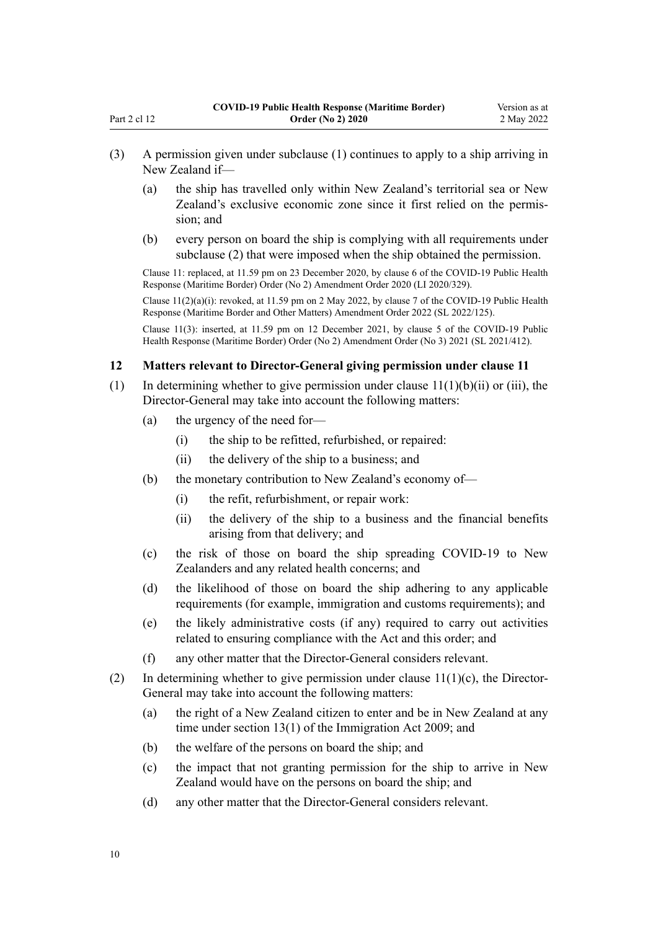- <span id="page-9-0"></span>(3) A permission given under subclause (1) continues to apply to a ship arriving in New Zealand if—
	- (a) the ship has travelled only within New Zealand's territorial sea or New Zealand's exclusive economic zone since it first relied on the permis‐ sion; and
	- (b) every person on board the ship is complying with all requirements under subclause (2) that were imposed when the ship obtained the permission.

Clause 11: replaced, at 11.59 pm on 23 December 2020, by [clause 6](http://legislation.govt.nz/pdflink.aspx?id=LMS437896) of the COVID-19 Public Health Response (Maritime Border) Order (No 2) Amendment Order 2020 (LI 2020/329).

Clause  $11(2)(a)(i)$ : revoked, at 11.59 pm on 2 May 2022, by [clause 7](http://legislation.govt.nz/pdflink.aspx?id=LMS679875) of the COVID-19 Public Health Response (Maritime Border and Other Matters) Amendment Order 2022 (SL 2022/125).

Clause 11(3): inserted, at 11.59 pm on 12 December 2021, by [clause 5](http://legislation.govt.nz/pdflink.aspx?id=LMS613790) of the COVID-19 Public Health Response (Maritime Border) Order (No 2) Amendment Order (No 3) 2021 (SL 2021/412).

#### **12 Matters relevant to Director-General giving permission under clause 11**

- (1) In determining whether to give permission under clause  $11(1)(b)(ii)$  or (iii), the Director-General may take into account the following matters:
	- (a) the urgency of the need for—
		- (i) the ship to be refitted, refurbished, or repaired:
		- (ii) the delivery of the ship to a business; and
	- (b) the monetary contribution to New Zealand's economy of—
		- (i) the refit, refurbishment, or repair work:
		- (ii) the delivery of the ship to a business and the financial benefits arising from that delivery; and
	- (c) the risk of those on board the ship spreading COVID-19 to New Zealanders and any related health concerns; and
	- (d) the likelihood of those on board the ship adhering to any applicable requirements (for example, immigration and customs requirements); and
	- (e) the likely administrative costs (if any) required to carry out activities related to ensuring compliance with the Act and this order; and
	- (f) any other matter that the Director-General considers relevant.
- (2) In determining whether to give permission under clause  $11(1)(c)$ , the Director-General may take into account the following matters:
	- (a) the right of a New Zealand citizen to enter and be in New Zealand at any time under [section 13\(1\)](http://legislation.govt.nz/pdflink.aspx?id=DLM1440595) of the Immigration Act 2009; and
	- (b) the welfare of the persons on board the ship; and
	- (c) the impact that not granting permission for the ship to arrive in New Zealand would have on the persons on board the ship; and
	- (d) any other matter that the Director-General considers relevant.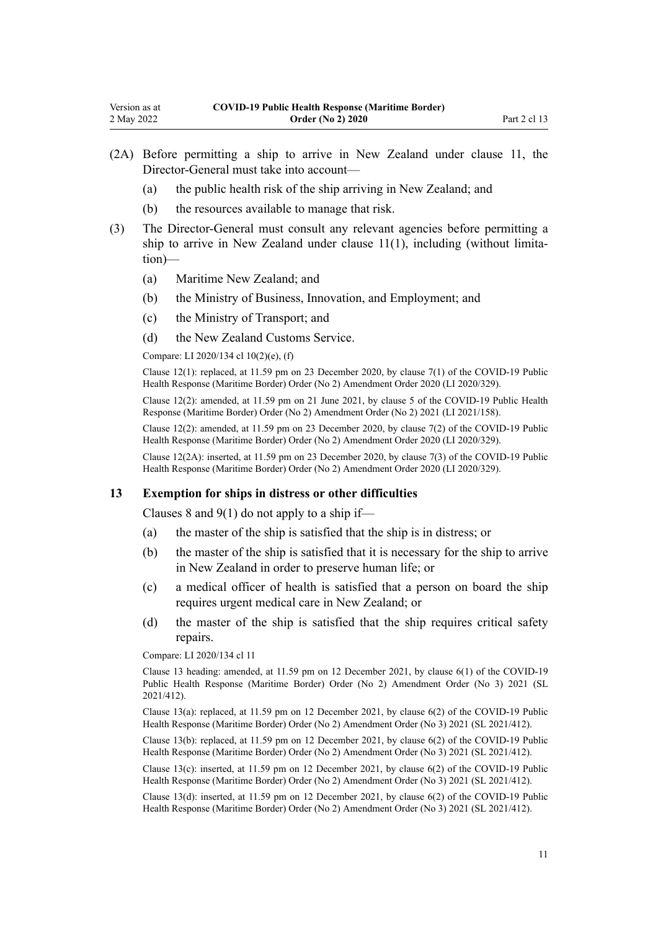- <span id="page-10-0"></span>(2A) Before permitting a ship to arrive in New Zealand under [clause 11,](#page-8-0) the Director-General must take into account—
	- (a) the public health risk of the ship arriving in New Zealand; and
	- (b) the resources available to manage that risk.
- (3) The Director-General must consult any relevant agencies before permitting a ship to arrive in New Zealand under clause  $11(1)$ , including (without limitation)—
	- (a) Maritime New Zealand; and
	- (b) the Ministry of Business, Innovation, and Employment; and
	- (c) the Ministry of Transport; and
	- (d) the New Zealand Customs Service.

Compare: LI 2020/134 [cl 10\(2\)\(e\), \(f\)](http://legislation.govt.nz/pdflink.aspx?id=LMS363222)

Clause 12(1): replaced, at 11.59 pm on 23 December 2020, by [clause 7\(1\)](http://legislation.govt.nz/pdflink.aspx?id=LMS437897) of the COVID-19 Public Health Response (Maritime Border) Order (No 2) Amendment Order 2020 (LI 2020/329).

Clause 12(2): amended, at 11.59 pm on 21 June 2021, by [clause 5](http://legislation.govt.nz/pdflink.aspx?id=LMS505545) of the COVID-19 Public Health Response (Maritime Border) Order (No 2) Amendment Order (No 2) 2021 (LI 2021/158).

Clause 12(2): amended, at 11.59 pm on 23 December 2020, by [clause 7\(2\)](http://legislation.govt.nz/pdflink.aspx?id=LMS437897) of the COVID-19 Public Health Response (Maritime Border) Order (No 2) Amendment Order 2020 (LI 2020/329).

Clause 12(2A): inserted, at 11.59 pm on 23 December 2020, by [clause 7\(3\)](http://legislation.govt.nz/pdflink.aspx?id=LMS437897) of the COVID-19 Public Health Response (Maritime Border) Order (No 2) Amendment Order 2020 (LI 2020/329).

#### **13 Exemption for ships in distress or other difficulties**

[Clauses 8](#page-6-0) and  $9(1)$  do not apply to a ship if—

- (a) the master of the ship is satisfied that the ship is in distress; or
- (b) the master of the ship is satisfied that it is necessary for the ship to arrive in New Zealand in order to preserve human life; or
- (c) a medical officer of health is satisfied that a person on board the ship requires urgent medical care in New Zealand; or
- (d) the master of the ship is satisfied that the ship requires critical safety repairs.

Compare: LI 2020/134 [cl 11](http://legislation.govt.nz/pdflink.aspx?id=LMS363223)

Clause 13 heading: amended, at 11.59 pm on 12 December 2021, by [clause 6\(1\)](http://legislation.govt.nz/pdflink.aspx?id=LMS613791) of the COVID-19 Public Health Response (Maritime Border) Order (No 2) Amendment Order (No 3) 2021 (SL 2021/412).

Clause 13(a): replaced, at 11.59 pm on 12 December 2021, by [clause 6\(2\)](http://legislation.govt.nz/pdflink.aspx?id=LMS613791) of the COVID-19 Public Health Response (Maritime Border) Order (No 2) Amendment Order (No 3) 2021 (SL 2021/412).

Clause 13(b): replaced, at 11.59 pm on 12 December 2021, by [clause 6\(2\)](http://legislation.govt.nz/pdflink.aspx?id=LMS613791) of the COVID-19 Public Health Response (Maritime Border) Order (No 2) Amendment Order (No 3) 2021 (SL 2021/412).

Clause  $13(c)$ : inserted, at 11.59 pm on 12 December 2021, by clause  $6(2)$  of the COVID-19 Public Health Response (Maritime Border) Order (No 2) Amendment Order (No 3) 2021 (SL 2021/412).

Clause 13(d): inserted, at 11.59 pm on 12 December 2021, by [clause 6\(2\)](http://legislation.govt.nz/pdflink.aspx?id=LMS613791) of the COVID-19 Public Health Response (Maritime Border) Order (No 2) Amendment Order (No 3) 2021 (SL 2021/412).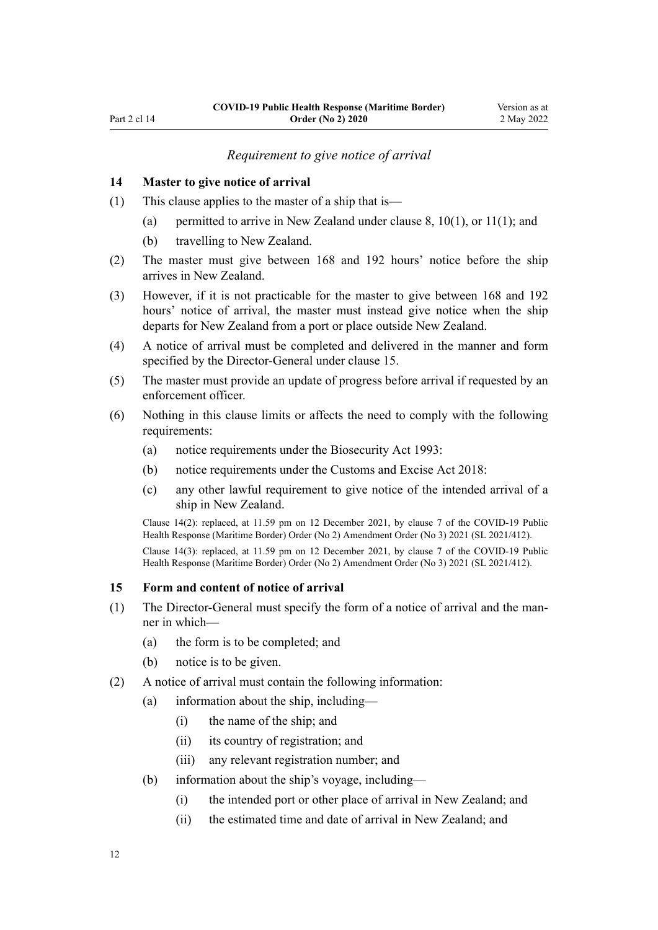#### *Requirement to give notice of arrival*

#### <span id="page-11-0"></span>**14 Master to give notice of arrival**

- (1) This clause applies to the master of a ship that is
	- (a) permitted to arrive in New Zealand under [clause 8](#page-6-0),  $10(1)$ , or  $11(1)$ ; and
	- (b) travelling to New Zealand.
- (2) The master must give between 168 and 192 hours' notice before the ship arrives in New Zealand.
- (3) However, if it is not practicable for the master to give between 168 and 192 hours' notice of arrival, the master must instead give notice when the ship departs for New Zealand from a port or place outside New Zealand.
- (4) A notice of arrival must be completed and delivered in the manner and form specified by the Director-General under clause 15.
- (5) The master must provide an update of progress before arrival if requested by an enforcement officer.
- (6) Nothing in this clause limits or affects the need to comply with the following requirements:
	- (a) notice requirements under the [Biosecurity Act 1993](http://legislation.govt.nz/pdflink.aspx?id=DLM314622):
	- (b) notice requirements under the [Customs and Excise Act 2018:](http://legislation.govt.nz/pdflink.aspx?id=DLM7038920)
	- (c) any other lawful requirement to give notice of the intended arrival of a ship in New Zealand.

Clause 14(2): replaced, at 11.59 pm on 12 December 2021, by [clause 7](http://legislation.govt.nz/pdflink.aspx?id=LMS613792) of the COVID-19 Public Health Response (Maritime Border) Order (No 2) Amendment Order (No 3) 2021 (SL 2021/412).

Clause 14(3): replaced, at 11.59 pm on 12 December 2021, by [clause 7](http://legislation.govt.nz/pdflink.aspx?id=LMS613792) of the COVID-19 Public Health Response (Maritime Border) Order (No 2) Amendment Order (No 3) 2021 (SL 2021/412).

### **15 Form and content of notice of arrival**

- (1) The Director-General must specify the form of a notice of arrival and the man‐ ner in which—
	- (a) the form is to be completed; and
	- (b) notice is to be given.
- (2) A notice of arrival must contain the following information:
	- (a) information about the ship, including—
		- (i) the name of the ship; and
		- (ii) its country of registration; and
		- (iii) any relevant registration number; and
	- (b) information about the ship's voyage, including—
		- (i) the intended port or other place of arrival in New Zealand; and
		- (ii) the estimated time and date of arrival in New Zealand; and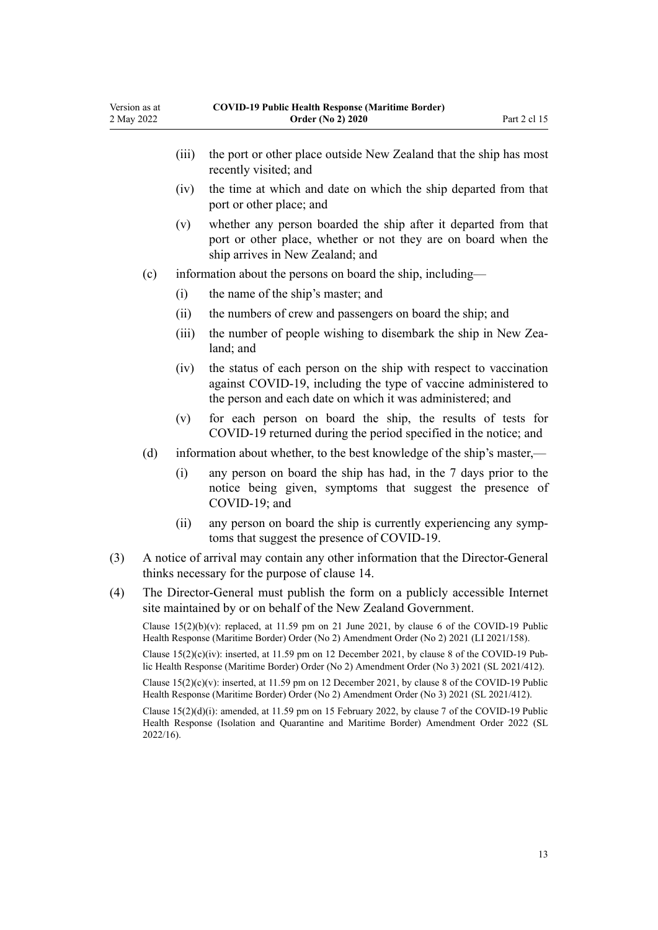Version as at 2 May 2022

|     |                                                                                                                                                                                                             | (iii)                                                                                                                             | the port or other place outside New Zealand that the ship has most<br>recently visited; and                                                                                                        |  |  |
|-----|-------------------------------------------------------------------------------------------------------------------------------------------------------------------------------------------------------------|-----------------------------------------------------------------------------------------------------------------------------------|----------------------------------------------------------------------------------------------------------------------------------------------------------------------------------------------------|--|--|
|     |                                                                                                                                                                                                             | (iv)                                                                                                                              | the time at which and date on which the ship departed from that<br>port or other place; and                                                                                                        |  |  |
|     |                                                                                                                                                                                                             | (v)                                                                                                                               | whether any person boarded the ship after it departed from that<br>port or other place, whether or not they are on board when the<br>ship arrives in New Zealand; and                              |  |  |
|     | (c)                                                                                                                                                                                                         |                                                                                                                                   | information about the persons on board the ship, including—                                                                                                                                        |  |  |
|     |                                                                                                                                                                                                             | (i)                                                                                                                               | the name of the ship's master; and                                                                                                                                                                 |  |  |
|     |                                                                                                                                                                                                             | (ii)                                                                                                                              | the numbers of crew and passengers on board the ship; and                                                                                                                                          |  |  |
|     |                                                                                                                                                                                                             | (iii)                                                                                                                             | the number of people wishing to disembark the ship in New Zea-<br>land; and                                                                                                                        |  |  |
|     |                                                                                                                                                                                                             | (iv)                                                                                                                              | the status of each person on the ship with respect to vaccination<br>against COVID-19, including the type of vaccine administered to<br>the person and each date on which it was administered; and |  |  |
|     |                                                                                                                                                                                                             | (v)                                                                                                                               | for each person on board the ship, the results of tests for<br>COVID-19 returned during the period specified in the notice; and                                                                    |  |  |
|     | (d)                                                                                                                                                                                                         |                                                                                                                                   | information about whether, to the best knowledge of the ship's master,—                                                                                                                            |  |  |
|     |                                                                                                                                                                                                             | (i)                                                                                                                               | any person on board the ship has had, in the 7 days prior to the<br>notice being given, symptoms that suggest the presence of<br>COVID-19; and                                                     |  |  |
|     |                                                                                                                                                                                                             | (ii)                                                                                                                              | any person on board the ship is currently experiencing any symp-<br>toms that suggest the presence of COVID-19.                                                                                    |  |  |
| (3) |                                                                                                                                                                                                             | A notice of arrival may contain any other information that the Director-General<br>thinks necessary for the purpose of clause 14. |                                                                                                                                                                                                    |  |  |
| (4) | The Director-General must publish the form on a publicly accessible Internet<br>site maintained by or on behalf of the New Zealand Government.                                                              |                                                                                                                                   |                                                                                                                                                                                                    |  |  |
|     | Clause $15(2)(b)(v)$ : replaced, at 11.59 pm on 21 June 2021, by clause 6 of the COVID-19 Public<br>Health Response (Maritime Border) Order (No 2) Amendment Order (No 2) 2021 (LI 2021/158).               |                                                                                                                                   |                                                                                                                                                                                                    |  |  |
|     | Clause $15(2)(c)(iv)$ : inserted, at 11.59 pm on 12 December 2021, by clause 8 of the COVID-19 Pub-<br>lic Health Response (Maritime Border) Order (No 2) Amendment Order (No 3) 2021 (SL 2021/412).        |                                                                                                                                   |                                                                                                                                                                                                    |  |  |
|     | Clause $15(2)(c)(y)$ : inserted, at 11.59 pm on 12 December 2021, by clause 8 of the COVID-19 Public<br>Health Response (Maritime Border) Order (No 2) Amendment Order (No 3) 2021 (SL 2021/412).           |                                                                                                                                   |                                                                                                                                                                                                    |  |  |
|     | Clause $15(2)(d)(i)$ : amended, at 11.59 pm on 15 February 2022, by clause 7 of the COVID-19 Public<br>Health Response (Isolation and Quarantine and Maritime Border) Amendment Order 2022 (SL<br>2022/16). |                                                                                                                                   |                                                                                                                                                                                                    |  |  |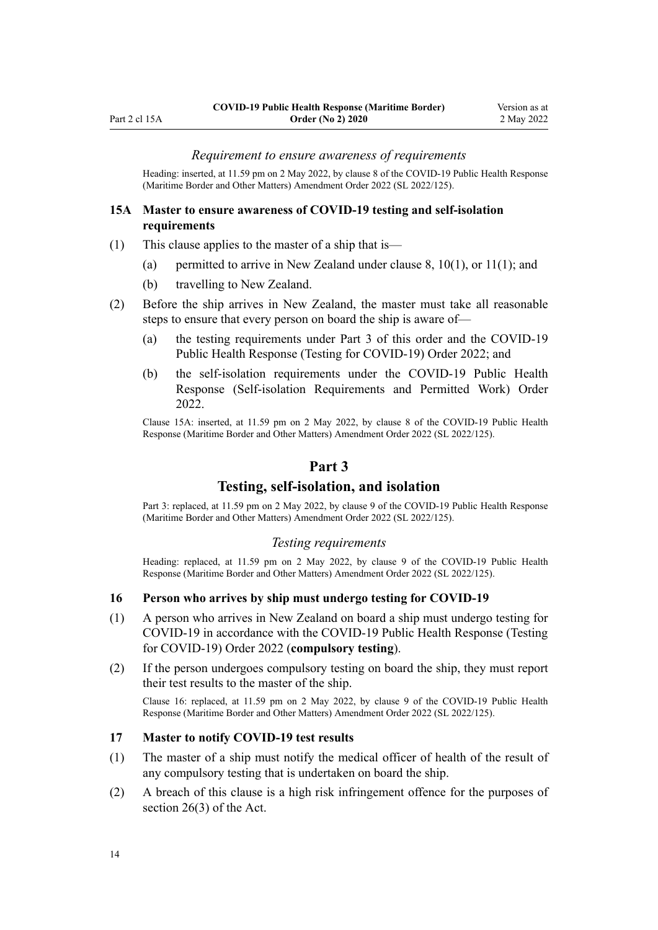#### *Requirement to ensure awareness of requirements*

<span id="page-13-0"></span>Heading: inserted, at 11.59 pm on 2 May 2022, by [clause 8](http://legislation.govt.nz/pdflink.aspx?id=LMS679878) of the COVID-19 Public Health Response (Maritime Border and Other Matters) Amendment Order 2022 (SL 2022/125).

#### **15A Master to ensure awareness of COVID-19 testing and self-isolation requirements**

- (1) This clause applies to the master of a ship that is—
	- (a) permitted to arrive in New Zealand under clause  $8, 10(1)$  $8, 10(1)$ , or  $11(1)$ ; and
	- (b) travelling to New Zealand.
- (2) Before the ship arrives in New Zealand, the master must take all reasonable steps to ensure that every person on board the ship is aware of—
	- (a) the testing requirements under Part 3 of this order and the [COVID-19](http://legislation.govt.nz/pdflink.aspx?id=LMS653602) [Public Health Response \(Testing for COVID-19\) Order 2022;](http://legislation.govt.nz/pdflink.aspx?id=LMS653602) and
	- (b) the self-isolation requirements under the [COVID-19 Public Health](http://legislation.govt.nz/pdflink.aspx?id=LMS647647) [Response \(Self-isolation Requirements and Permitted Work\) Order](http://legislation.govt.nz/pdflink.aspx?id=LMS647647) [2022](http://legislation.govt.nz/pdflink.aspx?id=LMS647647).

Clause 15A: inserted, at 11.59 pm on 2 May 2022, by [clause 8](http://legislation.govt.nz/pdflink.aspx?id=LMS679878) of the COVID-19 Public Health Response (Maritime Border and Other Matters) Amendment Order 2022 (SL 2022/125).

## **Part 3**

## **Testing, self-isolation, and isolation**

Part 3: replaced, at 11.59 pm on 2 May 2022, by [clause 9](http://legislation.govt.nz/pdflink.aspx?id=LMS679886) of the COVID-19 Public Health Response (Maritime Border and Other Matters) Amendment Order 2022 (SL 2022/125).

#### *Testing requirements*

Heading: replaced, at 11.59 pm on 2 May 2022, by [clause 9](http://legislation.govt.nz/pdflink.aspx?id=LMS679886) of the COVID-19 Public Health Response (Maritime Border and Other Matters) Amendment Order 2022 (SL 2022/125).

#### **16 Person who arrives by ship must undergo testing for COVID-19**

- (1) A person who arrives in New Zealand on board a ship must undergo testing for COVID-19 in accordance with the [COVID-19 Public Health Response \(Testing](http://legislation.govt.nz/pdflink.aspx?id=LMS653602) [for COVID-19\) Order 2022](http://legislation.govt.nz/pdflink.aspx?id=LMS653602) (**compulsory testing**).
- (2) If the person undergoes compulsory testing on board the ship, they must report their test results to the master of the ship.

Clause 16: replaced, at 11.59 pm on 2 May 2022, by [clause 9](http://legislation.govt.nz/pdflink.aspx?id=LMS679886) of the COVID-19 Public Health Response (Maritime Border and Other Matters) Amendment Order 2022 (SL 2022/125).

#### **17 Master to notify COVID-19 test results**

- (1) The master of a ship must notify the medical officer of health of the result of any compulsory testing that is undertaken on board the ship.
- (2) A breach of this clause is a high risk infringement offence for the purposes of [section 26\(3\)](http://legislation.govt.nz/pdflink.aspx?id=LMS344200) of the Act.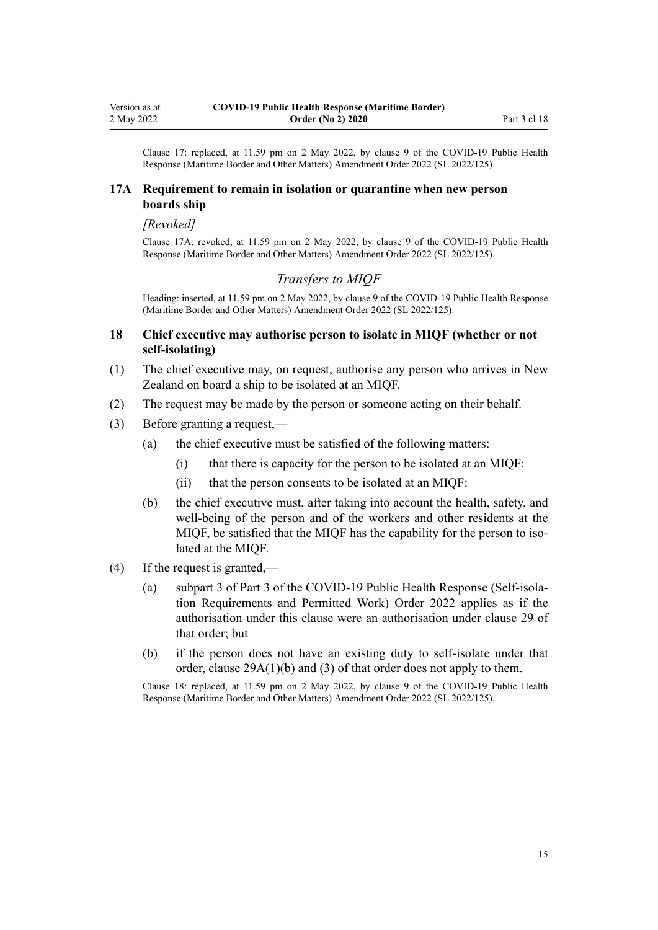<span id="page-14-0"></span>Clause 17: replaced, at 11.59 pm on 2 May 2022, by [clause 9](http://legislation.govt.nz/pdflink.aspx?id=LMS679886) of the COVID-19 Public Health Response (Maritime Border and Other Matters) Amendment Order 2022 (SL 2022/125).

#### **17A Requirement to remain in isolation or quarantine when new person boards ship**

#### *[Revoked]*

Clause 17A: revoked, at 11.59 pm on 2 May 2022, by [clause 9](http://legislation.govt.nz/pdflink.aspx?id=LMS679886) of the COVID-19 Public Health Response (Maritime Border and Other Matters) Amendment Order 2022 (SL 2022/125).

### *Transfers to MIQF*

Heading: inserted, at 11.59 pm on 2 May 2022, by [clause 9](http://legislation.govt.nz/pdflink.aspx?id=LMS679886) of the COVID-19 Public Health Response (Maritime Border and Other Matters) Amendment Order 2022 (SL 2022/125).

### **18 Chief executive may authorise person to isolate in MIQF (whether or not self-isolating)**

- (1) The chief executive may, on request, authorise any person who arrives in New Zealand on board a ship to be isolated at an MIQF.
- (2) The request may be made by the person or someone acting on their behalf.
- (3) Before granting a request,—
	- (a) the chief executive must be satisfied of the following matters:
		- (i) that there is capacity for the person to be isolated at an MIQF:
		- (ii) that the person consents to be isolated at an MIQF:
	- (b) the chief executive must, after taking into account the health, safety, and well-being of the person and of the workers and other residents at the MIQF, be satisfied that the MIQF has the capability for the person to isolated at the MIQF.
- (4) If the request is granted,—
	- (a) [subpart 3](http://legislation.govt.nz/pdflink.aspx?id=LMS648511) of Part 3 of the COVID-19 Public Health Response (Self-isola‐ tion Requirements and Permitted Work) Order 2022 applies as if the authorisation under this clause were an authorisation under [clause 29](http://legislation.govt.nz/pdflink.aspx?id=LMS647718) of that order; but
	- (b) if the person does not have an existing duty to self-isolate under that order, [clause 29A\(1\)\(b\) and \(3\)](http://legislation.govt.nz/pdflink.aspx?id=LMS680256) of that order does not apply to them.

Clause 18: replaced, at 11.59 pm on 2 May 2022, by [clause 9](http://legislation.govt.nz/pdflink.aspx?id=LMS679886) of the COVID-19 Public Health Response (Maritime Border and Other Matters) Amendment Order 2022 (SL 2022/125).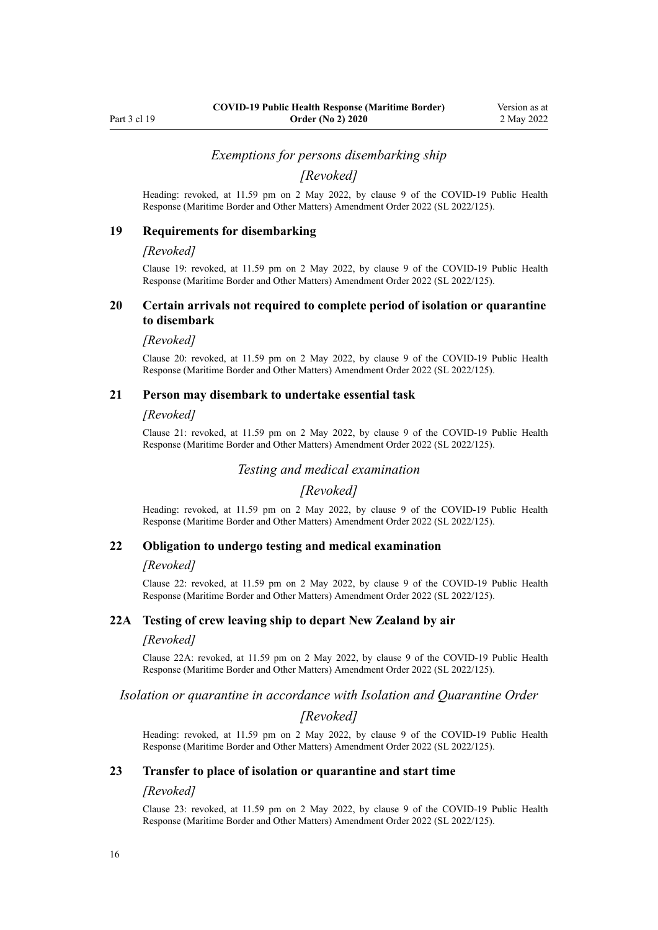#### *Exemptions for persons disembarking ship*

*[Revoked]*

<span id="page-15-0"></span>Heading: revoked, at 11.59 pm on 2 May 2022, by [clause 9](http://legislation.govt.nz/pdflink.aspx?id=LMS679886) of the COVID-19 Public Health Response (Maritime Border and Other Matters) Amendment Order 2022 (SL 2022/125).

#### **19 Requirements for disembarking**

#### *[Revoked]*

Clause 19: revoked, at 11.59 pm on 2 May 2022, by [clause 9](http://legislation.govt.nz/pdflink.aspx?id=LMS679886) of the COVID-19 Public Health Response (Maritime Border and Other Matters) Amendment Order 2022 (SL 2022/125).

#### **20 Certain arrivals not required to complete period of isolation or quarantine to disembark**

#### *[Revoked]*

Clause 20: revoked, at 11.59 pm on 2 May 2022, by [clause 9](http://legislation.govt.nz/pdflink.aspx?id=LMS679886) of the COVID-19 Public Health Response (Maritime Border and Other Matters) Amendment Order 2022 (SL 2022/125).

#### **21 Person may disembark to undertake essential task**

#### *[Revoked]*

Clause 21: revoked, at 11.59 pm on 2 May 2022, by [clause 9](http://legislation.govt.nz/pdflink.aspx?id=LMS679886) of the COVID-19 Public Health Response (Maritime Border and Other Matters) Amendment Order 2022 (SL 2022/125).

### *Testing and medical examination*

### *[Revoked]*

Heading: revoked, at 11.59 pm on 2 May 2022, by [clause 9](http://legislation.govt.nz/pdflink.aspx?id=LMS679886) of the COVID-19 Public Health Response (Maritime Border and Other Matters) Amendment Order 2022 (SL 2022/125).

#### **22 Obligation to undergo testing and medical examination**

#### *[Revoked]*

Clause 22: revoked, at 11.59 pm on 2 May 2022, by [clause 9](http://legislation.govt.nz/pdflink.aspx?id=LMS679886) of the COVID-19 Public Health Response (Maritime Border and Other Matters) Amendment Order 2022 (SL 2022/125).

#### **22A Testing of crew leaving ship to depart New Zealand by air**

#### *[Revoked]*

Clause 22A: revoked, at 11.59 pm on 2 May 2022, by [clause 9](http://legislation.govt.nz/pdflink.aspx?id=LMS679886) of the COVID-19 Public Health Response (Maritime Border and Other Matters) Amendment Order 2022 (SL 2022/125).

#### *Isolation or quarantine in accordance with Isolation and Quarantine Order*

#### *[Revoked]*

Heading: revoked, at 11.59 pm on 2 May 2022, by [clause 9](http://legislation.govt.nz/pdflink.aspx?id=LMS679886) of the COVID-19 Public Health Response (Maritime Border and Other Matters) Amendment Order 2022 (SL 2022/125).

#### **23 Transfer to place of isolation or quarantine and start time**

#### *[Revoked]*

Clause 23: revoked, at 11.59 pm on 2 May 2022, by [clause 9](http://legislation.govt.nz/pdflink.aspx?id=LMS679886) of the COVID-19 Public Health Response (Maritime Border and Other Matters) Amendment Order 2022 (SL 2022/125).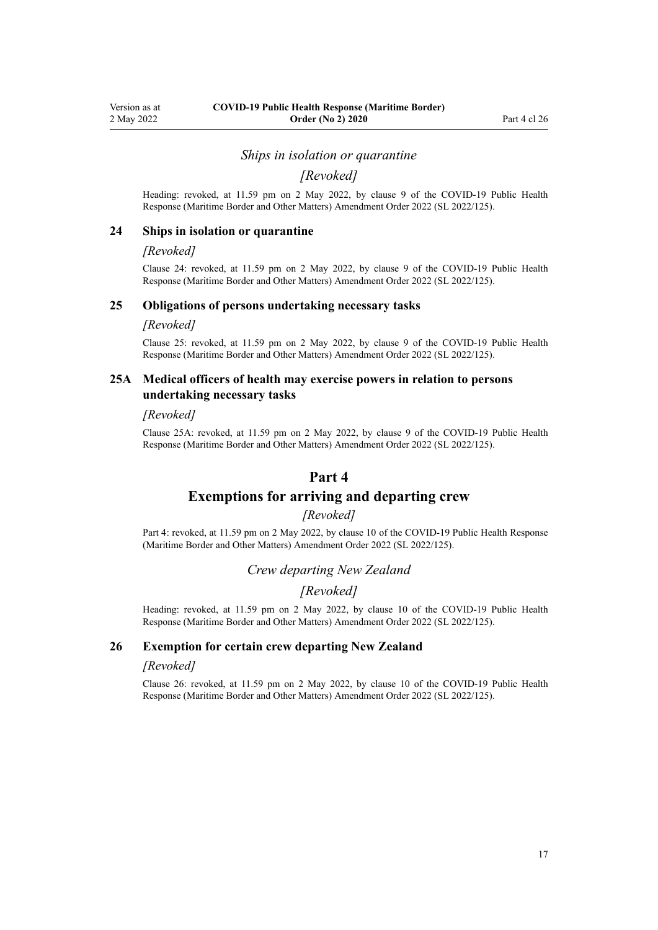#### *Ships in isolation or quarantine*

*[Revoked]*

<span id="page-16-0"></span>Heading: revoked, at 11.59 pm on 2 May 2022, by [clause 9](http://legislation.govt.nz/pdflink.aspx?id=LMS679886) of the COVID-19 Public Health Response (Maritime Border and Other Matters) Amendment Order 2022 (SL 2022/125).

#### **24 Ships in isolation or quarantine**

#### *[Revoked]*

Clause 24: revoked, at 11.59 pm on 2 May 2022, by [clause 9](http://legislation.govt.nz/pdflink.aspx?id=LMS679886) of the COVID-19 Public Health Response (Maritime Border and Other Matters) Amendment Order 2022 (SL 2022/125).

#### **25 Obligations of persons undertaking necessary tasks**

#### *[Revoked]*

Clause 25: revoked, at 11.59 pm on 2 May 2022, by [clause 9](http://legislation.govt.nz/pdflink.aspx?id=LMS679886) of the COVID-19 Public Health Response (Maritime Border and Other Matters) Amendment Order 2022 (SL 2022/125).

### **25A Medical officers of health may exercise powers in relation to persons undertaking necessary tasks**

#### *[Revoked]*

Clause 25A: revoked, at 11.59 pm on 2 May 2022, by [clause 9](http://legislation.govt.nz/pdflink.aspx?id=LMS679886) of the COVID-19 Public Health Response (Maritime Border and Other Matters) Amendment Order 2022 (SL 2022/125).

### **Part 4**

### **Exemptions for arriving and departing crew**

#### *[Revoked]*

Part 4: revoked, at 11.59 pm on 2 May 2022, by [clause 10](http://legislation.govt.nz/pdflink.aspx?id=LMS679887) of the COVID-19 Public Health Response (Maritime Border and Other Matters) Amendment Order 2022 (SL 2022/125).

### *Crew departing New Zealand*

## *[Revoked]*

Heading: revoked, at 11.59 pm on 2 May 2022, by [clause 10](http://legislation.govt.nz/pdflink.aspx?id=LMS679887) of the COVID-19 Public Health Response (Maritime Border and Other Matters) Amendment Order 2022 (SL 2022/125).

### **26 Exemption for certain crew departing New Zealand**

#### *[Revoked]*

Clause 26: revoked, at 11.59 pm on 2 May 2022, by [clause 10](http://legislation.govt.nz/pdflink.aspx?id=LMS679887) of the COVID-19 Public Health Response (Maritime Border and Other Matters) Amendment Order 2022 (SL 2022/125).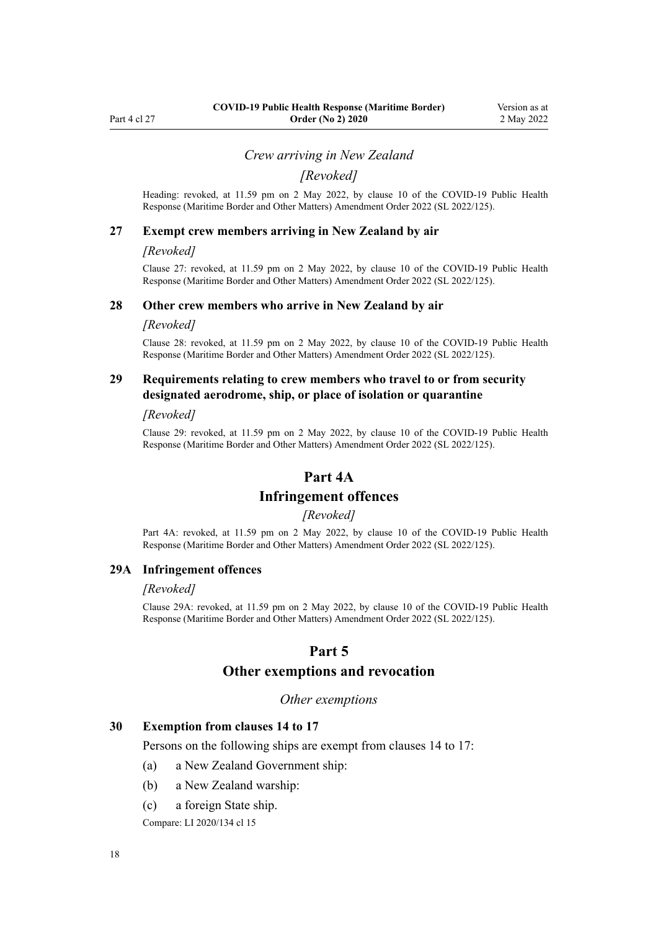#### *Crew arriving in New Zealand*

*[Revoked]*

<span id="page-17-0"></span>Heading: revoked, at 11.59 pm on 2 May 2022, by [clause 10](http://legislation.govt.nz/pdflink.aspx?id=LMS679887) of the COVID-19 Public Health Response (Maritime Border and Other Matters) Amendment Order 2022 (SL 2022/125).

#### **27 Exempt crew members arriving in New Zealand by air**

#### *[Revoked]*

Clause 27: revoked, at 11.59 pm on 2 May 2022, by [clause 10](http://legislation.govt.nz/pdflink.aspx?id=LMS679887) of the COVID-19 Public Health Response (Maritime Border and Other Matters) Amendment Order 2022 (SL 2022/125).

#### **28 Other crew members who arrive in New Zealand by air**

#### *[Revoked]*

Clause 28: revoked, at 11.59 pm on 2 May 2022, by [clause 10](http://legislation.govt.nz/pdflink.aspx?id=LMS679887) of the COVID-19 Public Health Response (Maritime Border and Other Matters) Amendment Order 2022 (SL 2022/125).

### **29 Requirements relating to crew members who travel to or from security designated aerodrome, ship, or place of isolation or quarantine**

#### *[Revoked]*

Clause 29: revoked, at 11.59 pm on 2 May 2022, by [clause 10](http://legislation.govt.nz/pdflink.aspx?id=LMS679887) of the COVID-19 Public Health Response (Maritime Border and Other Matters) Amendment Order 2022 (SL 2022/125).

### **Part 4A**

### **Infringement offences**

### *[Revoked]*

Part 4A: revoked, at 11.59 pm on 2 May 2022, by [clause 10](http://legislation.govt.nz/pdflink.aspx?id=LMS679887) of the COVID-19 Public Health Response (Maritime Border and Other Matters) Amendment Order 2022 (SL 2022/125).

#### **29A Infringement offences**

#### *[Revoked]*

Clause 29A: revoked, at 11.59 pm on 2 May 2022, by [clause 10](http://legislation.govt.nz/pdflink.aspx?id=LMS679887) of the COVID-19 Public Health Response (Maritime Border and Other Matters) Amendment Order 2022 (SL 2022/125).

#### **Part 5**

## **Other exemptions and revocation**

#### *Other exemptions*

#### **30 Exemption from clauses 14 to 17**

Persons on the following ships are exempt from [clauses 14 to 17:](#page-11-0)

- (a) a New Zealand Government ship:
- (b) a New Zealand warship:
- (c) a foreign State ship.

Compare: LI 2020/134 [cl 15](http://legislation.govt.nz/pdflink.aspx?id=LMS363233)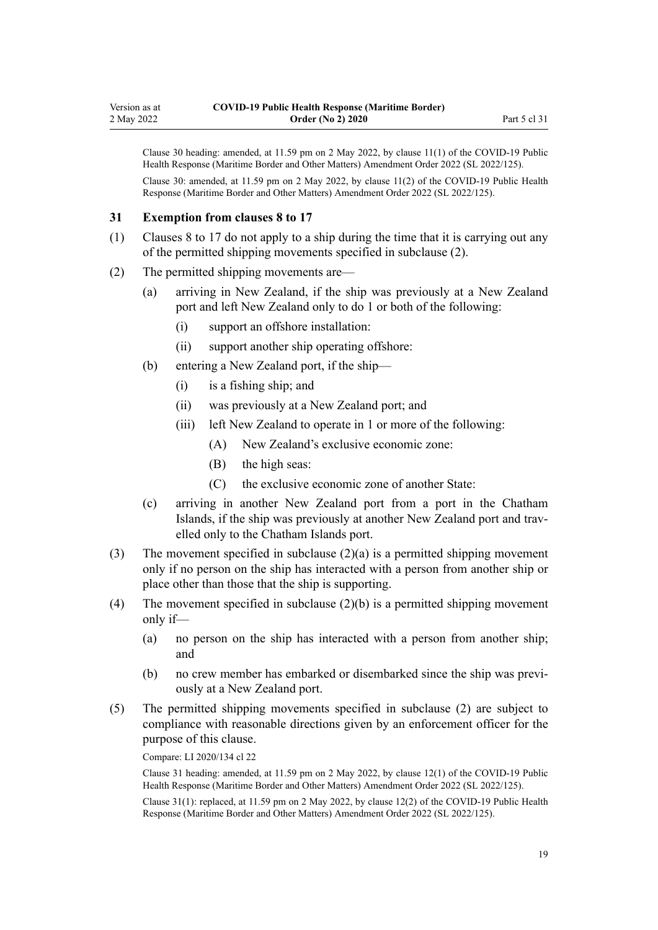<span id="page-18-0"></span>Clause 30 heading: amended, at 11.59 pm on 2 May 2022, by [clause 11\(1\)](http://legislation.govt.nz/pdflink.aspx?id=LMS679888) of the COVID-19 Public Health Response (Maritime Border and Other Matters) Amendment Order 2022 (SL 2022/125). Clause 30: amended, at 11.59 pm on 2 May 2022, by [clause 11\(2\)](http://legislation.govt.nz/pdflink.aspx?id=LMS679888) of the COVID-19 Public Health Response (Maritime Border and Other Matters) Amendment Order 2022 (SL 2022/125).

#### **31 Exemption from clauses 8 to 17**

- (1) [Clauses 8 to 17](#page-6-0) do not apply to a ship during the time that it is carrying out any of the permitted shipping movements specified in subclause (2).
- (2) The permitted shipping movements are—
	- (a) arriving in New Zealand, if the ship was previously at a New Zealand port and left New Zealand only to do 1 or both of the following:
		- (i) support an offshore installation:
		- (ii) support another ship operating offshore:
	- (b) entering a New Zealand port, if the ship—
		- (i) is a fishing ship; and
		- (ii) was previously at a New Zealand port; and
		- (iii) left New Zealand to operate in 1 or more of the following:
			- (A) New Zealand's exclusive economic zone:
			- (B) the high seas:
			- (C) the exclusive economic zone of another State:
	- (c) arriving in another New Zealand port from a port in the Chatham Islands, if the ship was previously at another New Zealand port and trav‐ elled only to the Chatham Islands port.
- (3) The movement specified in subclause  $(2)(a)$  is a permitted shipping movement only if no person on the ship has interacted with a person from another ship or place other than those that the ship is supporting.
- (4) The movement specified in subclause  $(2)(b)$  is a permitted shipping movement only if—
	- (a) no person on the ship has interacted with a person from another ship; and
	- (b) no crew member has embarked or disembarked since the ship was previously at a New Zealand port.
- (5) The permitted shipping movements specified in subclause (2) are subject to compliance with reasonable directions given by an enforcement officer for the purpose of this clause.

Compare: LI 2020/134 [cl 22](http://legislation.govt.nz/pdflink.aspx?id=LMS363251)

Clause 31 heading: amended, at 11.59 pm on 2 May 2022, by [clause 12\(1\)](http://legislation.govt.nz/pdflink.aspx?id=LMS679889) of the COVID-19 Public Health Response (Maritime Border and Other Matters) Amendment Order 2022 (SL 2022/125).

Clause 31(1): replaced, at 11.59 pm on 2 May 2022, by [clause 12\(2\)](http://legislation.govt.nz/pdflink.aspx?id=LMS679889) of the COVID-19 Public Health Response (Maritime Border and Other Matters) Amendment Order 2022 (SL 2022/125).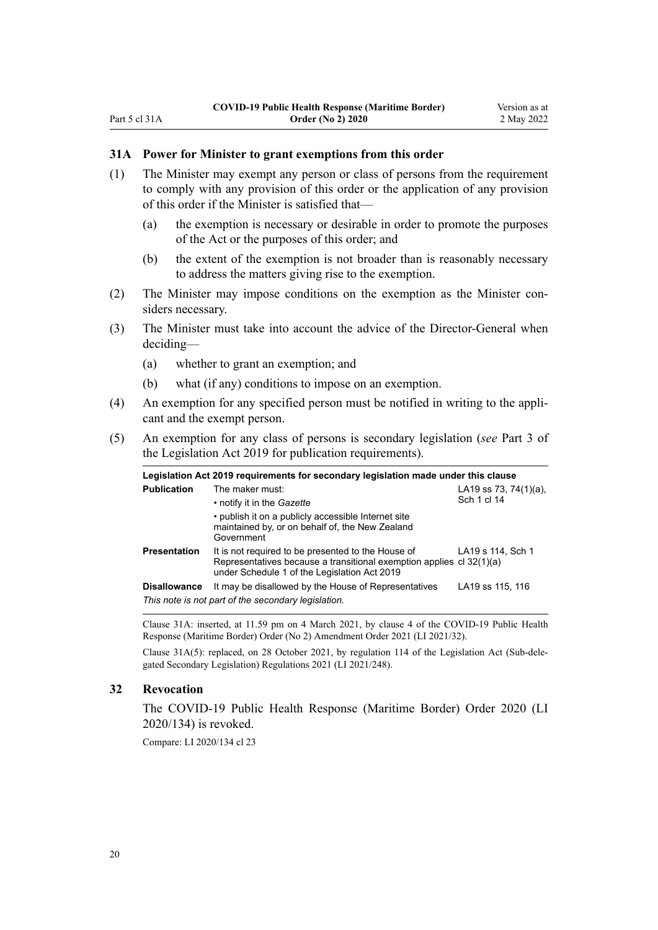## <span id="page-19-0"></span>**31A Power for Minister to grant exemptions from this order**

- (1) The Minister may exempt any person or class of persons from the requirement to comply with any provision of this order or the application of any provision of this order if the Minister is satisfied that—
	- (a) the exemption is necessary or desirable in order to promote the purposes of the Act or the purposes of this order; and
	- (b) the extent of the exemption is not broader than is reasonably necessary to address the matters giving rise to the exemption.
- (2) The Minister may impose conditions on the exemption as the Minister considers necessary.
- (3) The Minister must take into account the advice of the Director-General when deciding—
	- (a) whether to grant an exemption; and
	- (b) what (if any) conditions to impose on an exemption.
- (4) An exemption for any specified person must be notified in writing to the appli‐ cant and the exempt person.
- (5) An exemption for any class of persons is secondary legislation (*see* [Part 3](http://legislation.govt.nz/pdflink.aspx?id=DLM7298343) of the Legislation Act 2019 for publication requirements).

|                     | Legislation Act 2019 requirements for secondary legislation made under this clause                                                                                         |                                          |
|---------------------|----------------------------------------------------------------------------------------------------------------------------------------------------------------------------|------------------------------------------|
| <b>Publication</b>  | The maker must:                                                                                                                                                            | LA19 ss 73, 74 $(1)(a)$ ,<br>Sch 1 cl 14 |
|                     | • notify it in the <i>Gazette</i><br>• publish it on a publicly accessible Internet site<br>maintained by, or on behalf of, the New Zealand<br>Government                  |                                          |
| <b>Presentation</b> | It is not required to be presented to the House of<br>Representatives because a transitional exemption applies cl 32(1)(a)<br>under Schedule 1 of the Legislation Act 2019 | LA19 s 114, Sch 1                        |
| <b>Disallowance</b> | It may be disallowed by the House of Representatives                                                                                                                       | LA19 ss 115, 116                         |
|                     | This note is not part of the secondary legislation.                                                                                                                        |                                          |

Clause 31A: inserted, at 11.59 pm on 4 March 2021, by [clause 4](http://legislation.govt.nz/pdflink.aspx?id=LMS457527) of the COVID-19 Public Health Response (Maritime Border) Order (No 2) Amendment Order 2021 (LI 2021/32).

Clause 31A(5): replaced, on 28 October 2021, by [regulation 114](http://legislation.govt.nz/pdflink.aspx?id=LMS507559) of the Legislation Act (Sub-dele‐ gated Secondary Legislation) Regulations 2021 (LI 2021/248).

### **32 Revocation**

The [COVID-19 Public Health Response \(Maritime Border\) Order 2020](http://legislation.govt.nz/pdflink.aspx?id=LMS363150) (LI 2020/134) is revoked.

Compare: LI 2020/134 [cl 23](http://legislation.govt.nz/pdflink.aspx?id=LMS363252)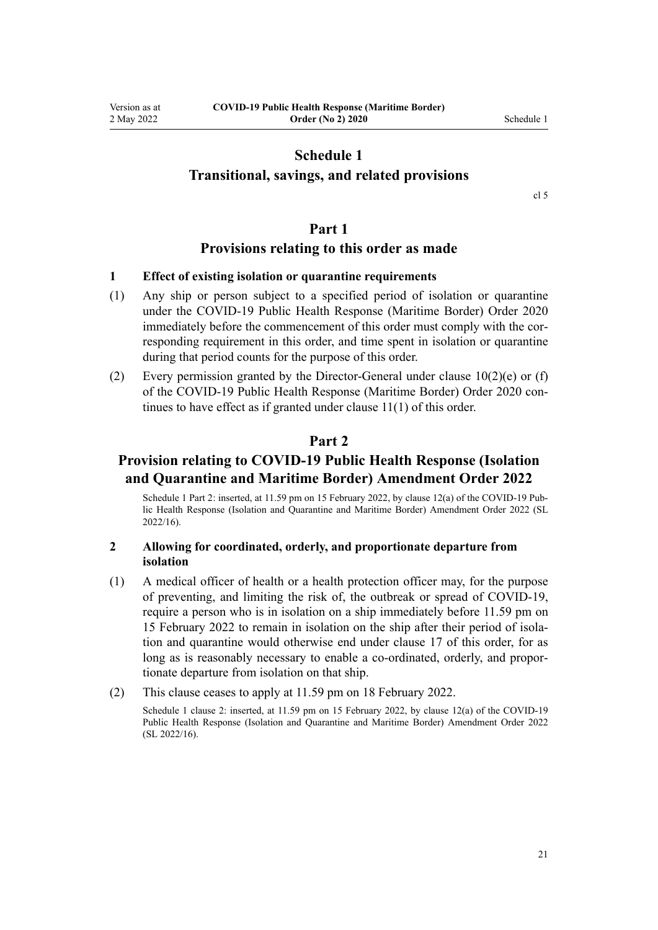## **Schedule 1**

## <span id="page-20-0"></span>**Transitional, savings, and related provisions**

[cl 5](#page-6-0)

### **Part 1**

## **Provisions relating to this order as made**

### **1 Effect of existing isolation or quarantine requirements**

- (1) Any ship or person subject to a specified period of isolation or quarantine under the [COVID-19 Public Health Response \(Maritime Border\) Order 2020](http://legislation.govt.nz/pdflink.aspx?id=LMS363150) immediately before the commencement of this order must comply with the corresponding requirement in this order, and time spent in isolation or quarantine during that period counts for the purpose of this order.
- (2) Every permission granted by the Director-General under clause  $10(2)(e)$  or (f) of the COVID-19 Public Health Response (Maritime Border) Order 2020 con‐ tinues to have effect as if granted under [clause 11\(1\)](#page-8-0) of this order.

## **Part 2**

## **Provision relating to COVID-19 Public Health Response (Isolation and Quarantine and Maritime Border) Amendment Order 2022**

Schedule 1 Part 2: inserted, at 11.59 pm on 15 February 2022, by [clause 12\(a\)](http://legislation.govt.nz/pdflink.aspx?id=LMS646066) of the COVID-19 Public Health Response (Isolation and Quarantine and Maritime Border) Amendment Order 2022 (SL 2022/16).

### **2 Allowing for coordinated, orderly, and proportionate departure from isolation**

- (1) A medical officer of health or a health protection officer may, for the purpose of preventing, and limiting the risk of, the outbreak or spread of COVID-19, require a person who is in isolation on a ship immediately before 11.59 pm on 15 February 2022 to remain in isolation on the ship after their period of isola‐ tion and quarantine would otherwise end under [clause 17](#page-13-0) of this order, for as long as is reasonably necessary to enable a co-ordinated, orderly, and propor‐ tionate departure from isolation on that ship.
- (2) This clause ceases to apply at 11.59 pm on 18 February 2022.

Schedule 1 clause 2: inserted, at 11.59 pm on 15 February 2022, by [clause 12\(a\)](http://legislation.govt.nz/pdflink.aspx?id=LMS646066) of the COVID-19 Public Health Response (Isolation and Quarantine and Maritime Border) Amendment Order 2022 (SL 2022/16).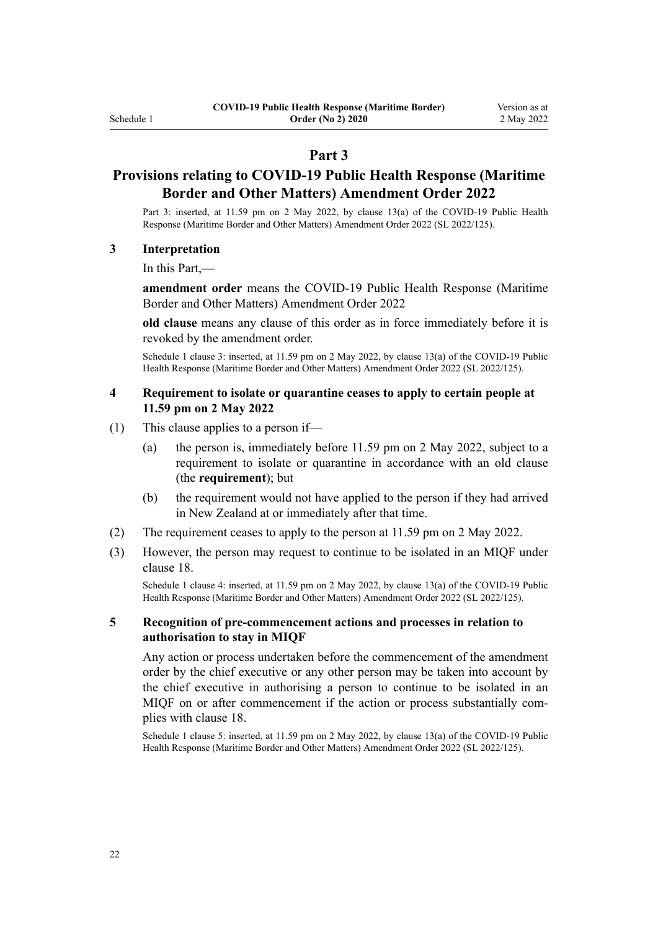## **Part 3**

## **Provisions relating to COVID-19 Public Health Response (Maritime Border and Other Matters) Amendment Order 2022**

Part 3: inserted, at 11.59 pm on 2 May 2022, by [clause 13\(a\)](http://legislation.govt.nz/pdflink.aspx?id=LMS679890) of the COVID-19 Public Health Response (Maritime Border and Other Matters) Amendment Order 2022 (SL 2022/125).

#### **3 Interpretation**

In this Part,—

**amendment order** means the [COVID-19 Public Health Response \(Maritime](http://legislation.govt.nz/pdflink.aspx?id=LMS679844) [Border and Other Matters\) Amendment Order 2022](http://legislation.govt.nz/pdflink.aspx?id=LMS679844)

**old clause** means any clause of this order as in force immediately before it is revoked by the amendment order.

Schedule 1 clause 3: inserted, at 11.59 pm on 2 May 2022, by [clause 13\(a\)](http://legislation.govt.nz/pdflink.aspx?id=LMS679890) of the COVID-19 Public Health Response (Maritime Border and Other Matters) Amendment Order 2022 (SL 2022/125).

### **4 Requirement to isolate or quarantine ceases to apply to certain people at 11.59 pm on 2 May 2022**

- (1) This clause applies to a person if—
	- (a) the person is, immediately before 11.59 pm on 2 May 2022, subject to a requirement to isolate or quarantine in accordance with an old clause (the **requirement**); but
	- (b) the requirement would not have applied to the person if they had arrived in New Zealand at or immediately after that time.
- (2) The requirement ceases to apply to the person at 11.59 pm on 2 May 2022.
- (3) However, the person may request to continue to be isolated in an MIQF under [clause 18](#page-14-0).

Schedule 1 clause 4: inserted, at 11.59 pm on 2 May 2022, by [clause 13\(a\)](http://legislation.govt.nz/pdflink.aspx?id=LMS679890) of the COVID-19 Public Health Response (Maritime Border and Other Matters) Amendment Order 2022 (SL 2022/125).

### **5 Recognition of pre-commencement actions and processes in relation to authorisation to stay in MIQF**

Any action or process undertaken before the commencement of the amendment order by the chief executive or any other person may be taken into account by the chief executive in authorising a person to continue to be isolated in an MIQF on or after commencement if the action or process substantially complies with [clause 18](#page-14-0).

Schedule 1 clause 5: inserted, at 11.59 pm on 2 May 2022, by [clause 13\(a\)](http://legislation.govt.nz/pdflink.aspx?id=LMS679890) of the COVID-19 Public Health Response (Maritime Border and Other Matters) Amendment Order 2022 (SL 2022/125).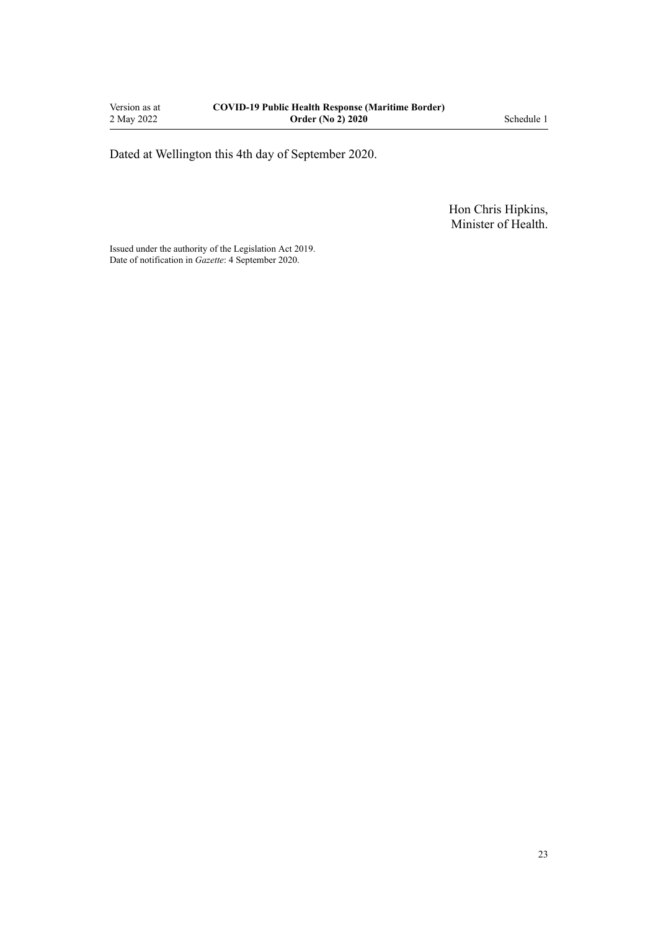Dated at Wellington this 4th day of September 2020.

Hon Chris Hipkins, Minister of Health.

Issued under the authority of the [Legislation Act 2019](http://legislation.govt.nz/pdflink.aspx?id=DLM7298104). Date of notification in *Gazette*: 4 September 2020.